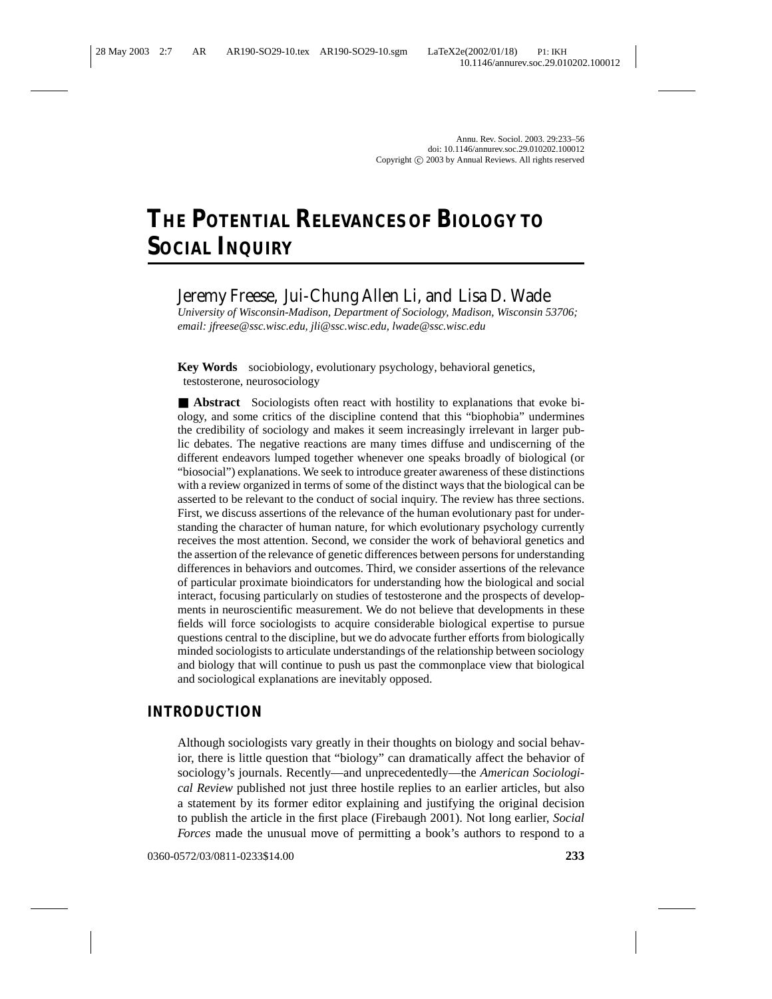# **THE POTENTIAL RELEVANCES OF BIOLOGY TO SOCIAL INQUIRY**

# Jeremy Freese, Jui-Chung Allen Li, and Lisa D. Wade

*University of Wisconsin-Madison, Department of Sociology, Madison, Wisconsin 53706; email: jfreese@ssc.wisc.edu, jli@ssc.wisc.edu, lwade@ssc.wisc.edu*

**Key Words** sociobiology, evolutionary psychology, behavioral genetics, testosterone, neurosociology

■ **Abstract** Sociologists often react with hostility to explanations that evoke biology, and some critics of the discipline contend that this "biophobia" undermines the credibility of sociology and makes it seem increasingly irrelevant in larger public debates. The negative reactions are many times diffuse and undiscerning of the different endeavors lumped together whenever one speaks broadly of biological (or "biosocial") explanations. We seek to introduce greater awareness of these distinctions with a review organized in terms of some of the distinct ways that the biological can be asserted to be relevant to the conduct of social inquiry. The review has three sections. First, we discuss assertions of the relevance of the human evolutionary past for understanding the character of human nature, for which evolutionary psychology currently receives the most attention. Second, we consider the work of behavioral genetics and the assertion of the relevance of genetic differences between persons for understanding differences in behaviors and outcomes. Third, we consider assertions of the relevance of particular proximate bioindicators for understanding how the biological and social interact, focusing particularly on studies of testosterone and the prospects of developments in neuroscientific measurement. We do not believe that developments in these fields will force sociologists to acquire considerable biological expertise to pursue questions central to the discipline, but we do advocate further efforts from biologically minded sociologists to articulate understandings of the relationship between sociology and biology that will continue to push us past the commonplace view that biological and sociological explanations are inevitably opposed.

### **INTRODUCTION**

Although sociologists vary greatly in their thoughts on biology and social behavior, there is little question that "biology" can dramatically affect the behavior of sociology's journals. Recently—and unprecedentedly—the *American Sociological Review* published not just three hostile replies to an earlier articles, but also a statement by its former editor explaining and justifying the original decision to publish the article in the first place (Firebaugh 2001). Not long earlier, *Social Forces* made the unusual move of permitting a book's authors to respond to a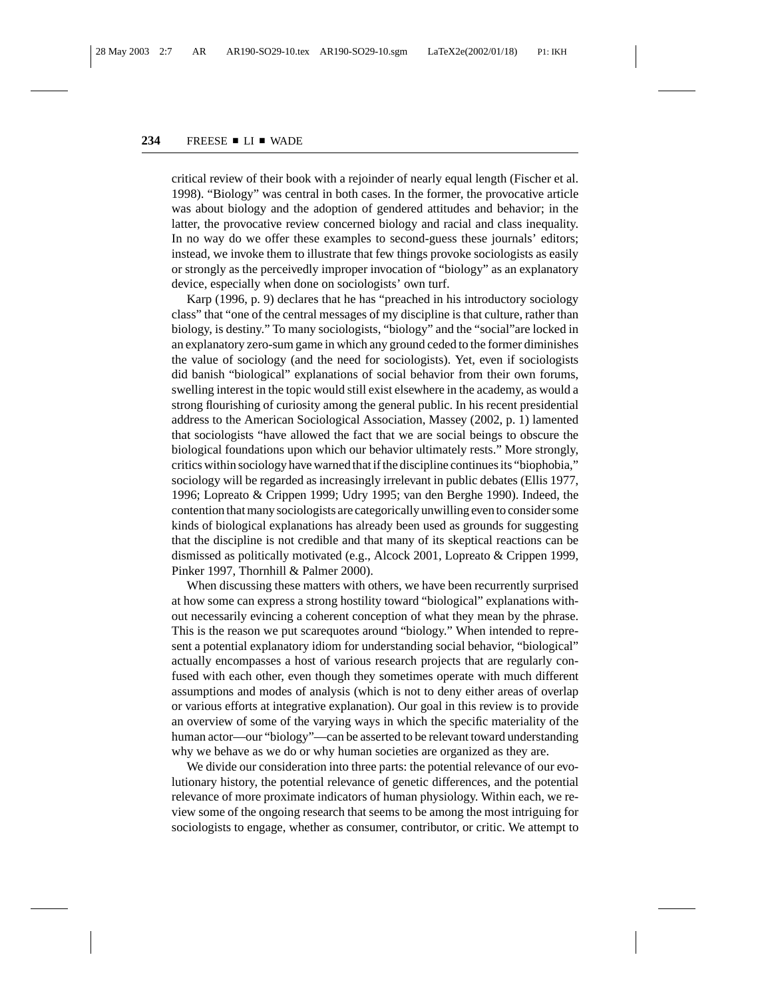critical review of their book with a rejoinder of nearly equal length (Fischer et al. 1998). "Biology" was central in both cases. In the former, the provocative article was about biology and the adoption of gendered attitudes and behavior; in the latter, the provocative review concerned biology and racial and class inequality. In no way do we offer these examples to second-guess these journals' editors; instead, we invoke them to illustrate that few things provoke sociologists as easily or strongly as the perceivedly improper invocation of "biology" as an explanatory device, especially when done on sociologists' own turf.

Karp (1996, p. 9) declares that he has "preached in his introductory sociology class" that "one of the central messages of my discipline is that culture, rather than biology, is destiny." To many sociologists, "biology" and the "social"are locked in an explanatory zero-sum game in which any ground ceded to the former diminishes the value of sociology (and the need for sociologists). Yet, even if sociologists did banish "biological" explanations of social behavior from their own forums, swelling interest in the topic would still exist elsewhere in the academy, as would a strong flourishing of curiosity among the general public. In his recent presidential address to the American Sociological Association, Massey (2002, p. 1) lamented that sociologists "have allowed the fact that we are social beings to obscure the biological foundations upon which our behavior ultimately rests." More strongly, critics within sociology have warned that if the discipline continues its "biophobia," sociology will be regarded as increasingly irrelevant in public debates (Ellis 1977, 1996; Lopreato & Crippen 1999; Udry 1995; van den Berghe 1990). Indeed, the contention that many sociologists are categorically unwilling even to consider some kinds of biological explanations has already been used as grounds for suggesting that the discipline is not credible and that many of its skeptical reactions can be dismissed as politically motivated (e.g., Alcock 2001, Lopreato & Crippen 1999, Pinker 1997, Thornhill & Palmer 2000).

When discussing these matters with others, we have been recurrently surprised at how some can express a strong hostility toward "biological" explanations without necessarily evincing a coherent conception of what they mean by the phrase. This is the reason we put scarequotes around "biology." When intended to represent a potential explanatory idiom for understanding social behavior, "biological" actually encompasses a host of various research projects that are regularly confused with each other, even though they sometimes operate with much different assumptions and modes of analysis (which is not to deny either areas of overlap or various efforts at integrative explanation). Our goal in this review is to provide an overview of some of the varying ways in which the specific materiality of the human actor—our "biology"—can be asserted to be relevant toward understanding why we behave as we do or why human societies are organized as they are.

We divide our consideration into three parts: the potential relevance of our evolutionary history, the potential relevance of genetic differences, and the potential relevance of more proximate indicators of human physiology. Within each, we review some of the ongoing research that seems to be among the most intriguing for sociologists to engage, whether as consumer, contributor, or critic. We attempt to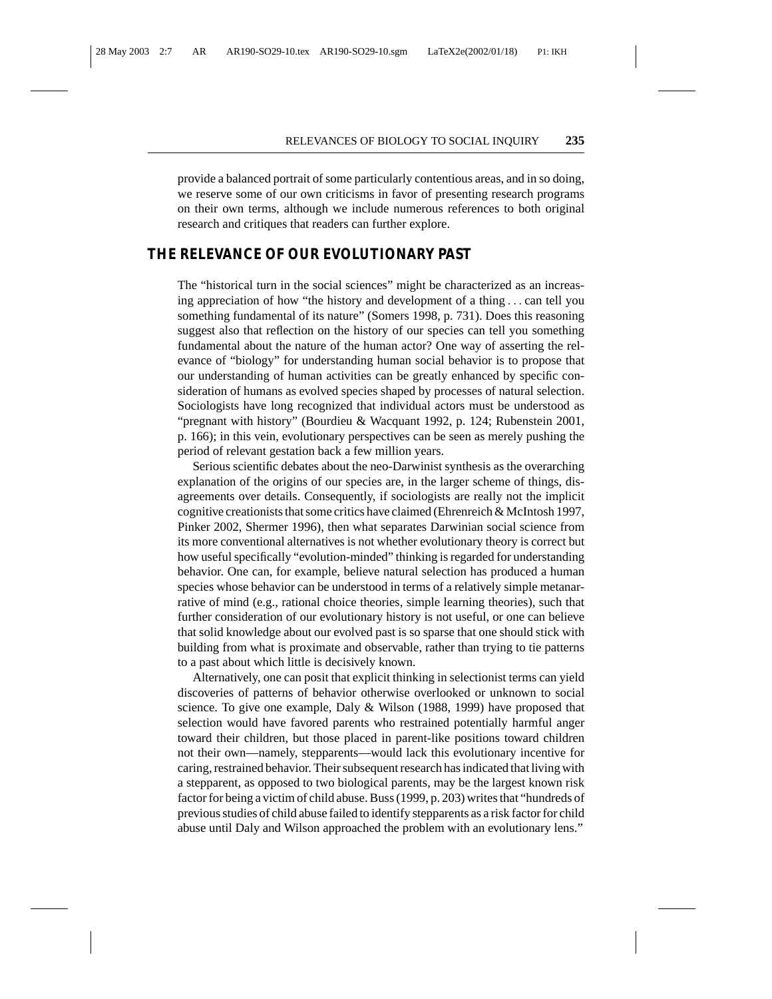provide a balanced portrait of some particularly contentious areas, and in so doing, we reserve some of our own criticisms in favor of presenting research programs on their own terms, although we include numerous references to both original research and critiques that readers can further explore.

#### **THE RELEVANCE OF OUR EVOLUTIONARY PAST**

The "historical turn in the social sciences" might be characterized as an increasing appreciation of how "the history and development of a thing ... can tell you something fundamental of its nature" (Somers 1998, p. 731). Does this reasoning suggest also that reflection on the history of our species can tell you something fundamental about the nature of the human actor? One way of asserting the relevance of "biology" for understanding human social behavior is to propose that our understanding of human activities can be greatly enhanced by specific consideration of humans as evolved species shaped by processes of natural selection. Sociologists have long recognized that individual actors must be understood as "pregnant with history" (Bourdieu & Wacquant 1992, p. 124; Rubenstein 2001, p. 166); in this vein, evolutionary perspectives can be seen as merely pushing the period of relevant gestation back a few million years.

Serious scientific debates about the neo-Darwinist synthesis as the overarching explanation of the origins of our species are, in the larger scheme of things, disagreements over details. Consequently, if sociologists are really not the implicit cognitive creationists that some critics have claimed (Ehrenreich & McIntosh 1997, Pinker 2002, Shermer 1996), then what separates Darwinian social science from its more conventional alternatives is not whether evolutionary theory is correct but how useful specifically "evolution-minded" thinking is regarded for understanding behavior. One can, for example, believe natural selection has produced a human species whose behavior can be understood in terms of a relatively simple metanarrative of mind (e.g., rational choice theories, simple learning theories), such that further consideration of our evolutionary history is not useful, or one can believe that solid knowledge about our evolved past is so sparse that one should stick with building from what is proximate and observable, rather than trying to tie patterns to a past about which little is decisively known.

Alternatively, one can posit that explicit thinking in selectionist terms can yield discoveries of patterns of behavior otherwise overlooked or unknown to social science. To give one example, Daly & Wilson (1988, 1999) have proposed that selection would have favored parents who restrained potentially harmful anger toward their children, but those placed in parent-like positions toward children not their own—namely, stepparents—would lack this evolutionary incentive for caring, restrained behavior. Their subsequent research has indicated that living with a stepparent, as opposed to two biological parents, may be the largest known risk factor for being a victim of child abuse. Buss (1999, p. 203) writes that "hundreds of previous studies of child abuse failed to identify stepparents as a risk factor for child abuse until Daly and Wilson approached the problem with an evolutionary lens."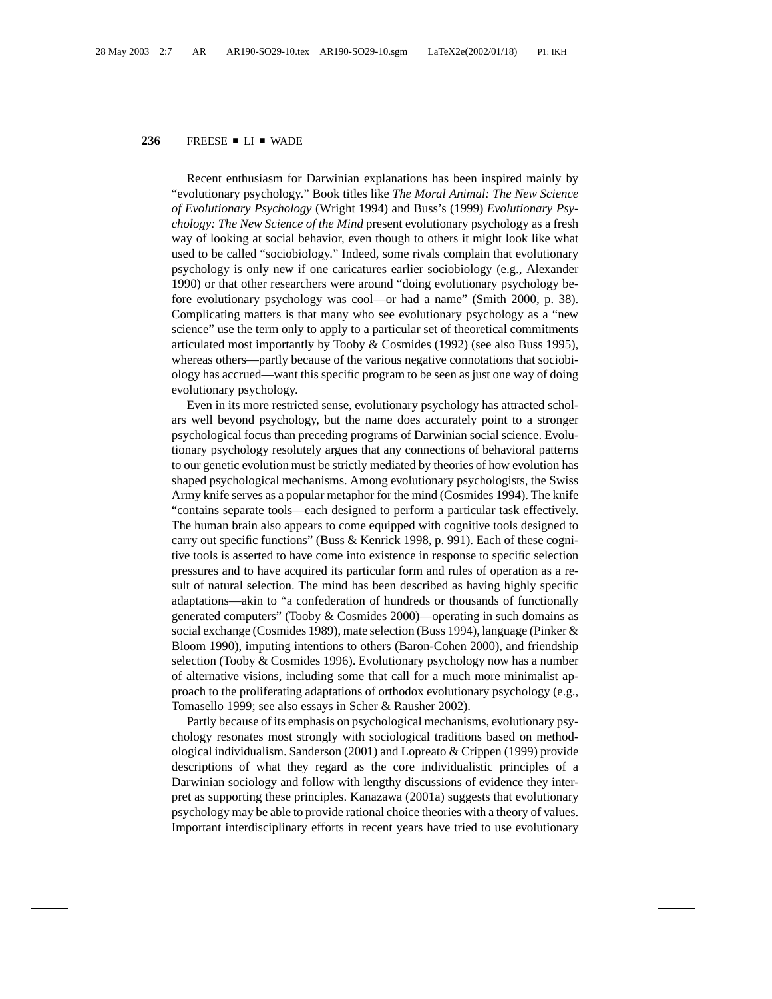Recent enthusiasm for Darwinian explanations has been inspired mainly by "evolutionary psychology." Book titles like *The Moral Animal: The New Science of Evolutionary Psychology* (Wright 1994) and Buss's (1999) *Evolutionary Psychology: The New Science of the Mind* present evolutionary psychology as a fresh way of looking at social behavior, even though to others it might look like what used to be called "sociobiology." Indeed, some rivals complain that evolutionary psychology is only new if one caricatures earlier sociobiology (e.g., Alexander 1990) or that other researchers were around "doing evolutionary psychology before evolutionary psychology was cool—or had a name" (Smith 2000, p. 38). Complicating matters is that many who see evolutionary psychology as a "new science" use the term only to apply to a particular set of theoretical commitments articulated most importantly by Tooby & Cosmides (1992) (see also Buss 1995), whereas others—partly because of the various negative connotations that sociobiology has accrued—want this specific program to be seen as just one way of doing evolutionary psychology.

Even in its more restricted sense, evolutionary psychology has attracted scholars well beyond psychology, but the name does accurately point to a stronger psychological focus than preceding programs of Darwinian social science. Evolutionary psychology resolutely argues that any connections of behavioral patterns to our genetic evolution must be strictly mediated by theories of how evolution has shaped psychological mechanisms. Among evolutionary psychologists, the Swiss Army knife serves as a popular metaphor for the mind (Cosmides 1994). The knife "contains separate tools—each designed to perform a particular task effectively. The human brain also appears to come equipped with cognitive tools designed to carry out specific functions" (Buss & Kenrick 1998, p. 991). Each of these cognitive tools is asserted to have come into existence in response to specific selection pressures and to have acquired its particular form and rules of operation as a result of natural selection. The mind has been described as having highly specific adaptations—akin to "a confederation of hundreds or thousands of functionally generated computers" (Tooby & Cosmides 2000)—operating in such domains as social exchange (Cosmides 1989), mate selection (Buss 1994), language (Pinker & Bloom 1990), imputing intentions to others (Baron-Cohen 2000), and friendship selection (Tooby & Cosmides 1996). Evolutionary psychology now has a number of alternative visions, including some that call for a much more minimalist approach to the proliferating adaptations of orthodox evolutionary psychology (e.g., Tomasello 1999; see also essays in Scher & Rausher 2002).

Partly because of its emphasis on psychological mechanisms, evolutionary psychology resonates most strongly with sociological traditions based on methodological individualism. Sanderson (2001) and Lopreato & Crippen (1999) provide descriptions of what they regard as the core individualistic principles of a Darwinian sociology and follow with lengthy discussions of evidence they interpret as supporting these principles. Kanazawa (2001a) suggests that evolutionary psychology may be able to provide rational choice theories with a theory of values. Important interdisciplinary efforts in recent years have tried to use evolutionary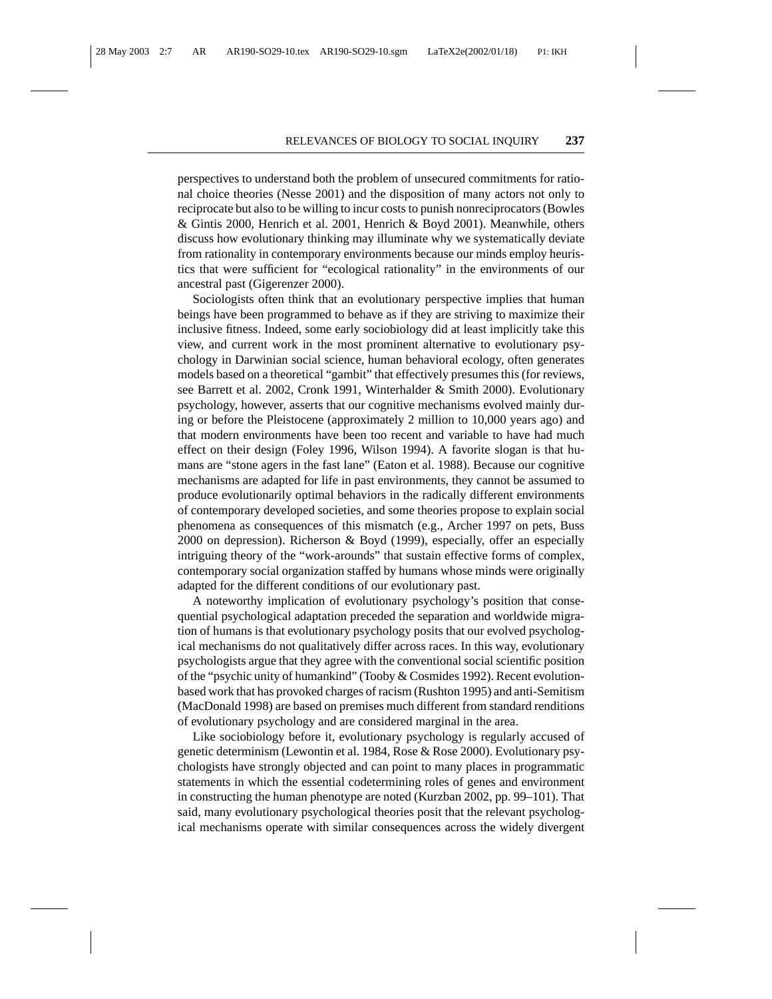perspectives to understand both the problem of unsecured commitments for rational choice theories (Nesse 2001) and the disposition of many actors not only to reciprocate but also to be willing to incur costs to punish nonreciprocators (Bowles & Gintis 2000, Henrich et al. 2001, Henrich & Boyd 2001). Meanwhile, others discuss how evolutionary thinking may illuminate why we systematically deviate from rationality in contemporary environments because our minds employ heuristics that were sufficient for "ecological rationality" in the environments of our ancestral past (Gigerenzer 2000).

Sociologists often think that an evolutionary perspective implies that human beings have been programmed to behave as if they are striving to maximize their inclusive fitness. Indeed, some early sociobiology did at least implicitly take this view, and current work in the most prominent alternative to evolutionary psychology in Darwinian social science, human behavioral ecology, often generates models based on a theoretical "gambit" that effectively presumes this (for reviews, see Barrett et al. 2002, Cronk 1991, Winterhalder & Smith 2000). Evolutionary psychology, however, asserts that our cognitive mechanisms evolved mainly during or before the Pleistocene (approximately 2 million to 10,000 years ago) and that modern environments have been too recent and variable to have had much effect on their design (Foley 1996, Wilson 1994). A favorite slogan is that humans are "stone agers in the fast lane" (Eaton et al. 1988). Because our cognitive mechanisms are adapted for life in past environments, they cannot be assumed to produce evolutionarily optimal behaviors in the radically different environments of contemporary developed societies, and some theories propose to explain social phenomena as consequences of this mismatch (e.g., Archer 1997 on pets, Buss 2000 on depression). Richerson & Boyd (1999), especially, offer an especially intriguing theory of the "work-arounds" that sustain effective forms of complex, contemporary social organization staffed by humans whose minds were originally adapted for the different conditions of our evolutionary past.

A noteworthy implication of evolutionary psychology's position that consequential psychological adaptation preceded the separation and worldwide migration of humans is that evolutionary psychology posits that our evolved psychological mechanisms do not qualitatively differ across races. In this way, evolutionary psychologists argue that they agree with the conventional social scientific position of the "psychic unity of humankind" (Tooby & Cosmides 1992). Recent evolutionbased work that has provoked charges of racism (Rushton 1995) and anti-Semitism (MacDonald 1998) are based on premises much different from standard renditions of evolutionary psychology and are considered marginal in the area.

Like sociobiology before it, evolutionary psychology is regularly accused of genetic determinism (Lewontin et al. 1984, Rose & Rose 2000). Evolutionary psychologists have strongly objected and can point to many places in programmatic statements in which the essential codetermining roles of genes and environment in constructing the human phenotype are noted (Kurzban 2002, pp. 99–101). That said, many evolutionary psychological theories posit that the relevant psychological mechanisms operate with similar consequences across the widely divergent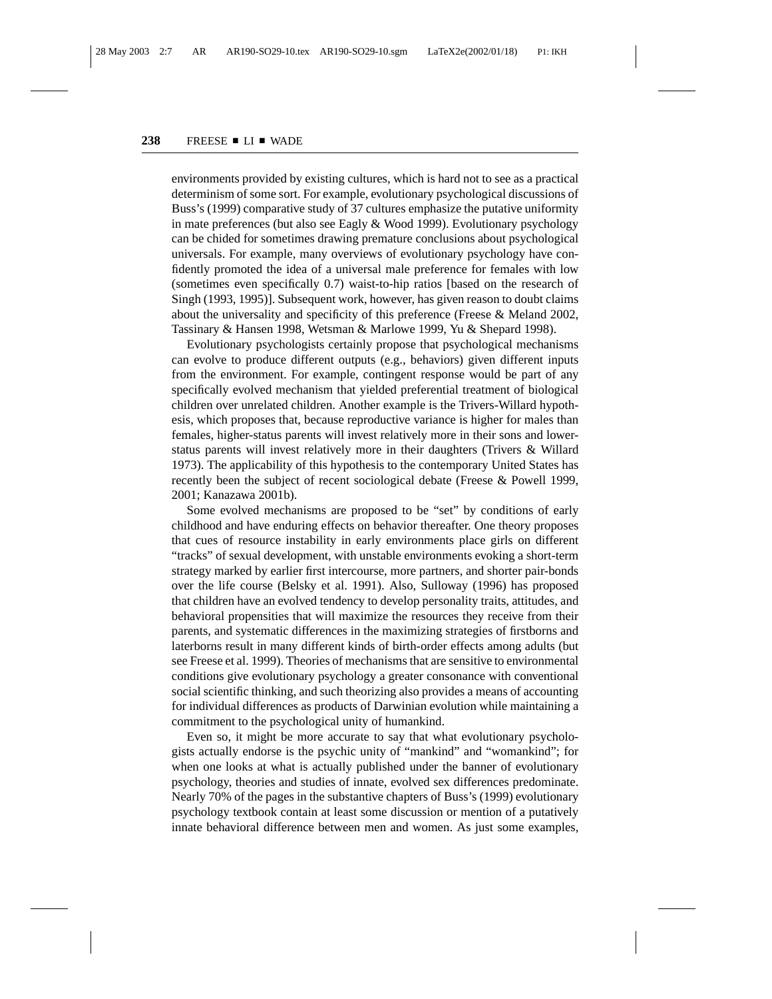environments provided by existing cultures, which is hard not to see as a practical determinism of some sort. For example, evolutionary psychological discussions of Buss's (1999) comparative study of 37 cultures emphasize the putative uniformity in mate preferences (but also see Eagly & Wood 1999). Evolutionary psychology can be chided for sometimes drawing premature conclusions about psychological universals. For example, many overviews of evolutionary psychology have confidently promoted the idea of a universal male preference for females with low (sometimes even specifically 0.7) waist-to-hip ratios [based on the research of Singh (1993, 1995)]. Subsequent work, however, has given reason to doubt claims about the universality and specificity of this preference (Freese & Meland 2002, Tassinary & Hansen 1998, Wetsman & Marlowe 1999, Yu & Shepard 1998).

Evolutionary psychologists certainly propose that psychological mechanisms can evolve to produce different outputs (e.g., behaviors) given different inputs from the environment. For example, contingent response would be part of any specifically evolved mechanism that yielded preferential treatment of biological children over unrelated children. Another example is the Trivers-Willard hypothesis, which proposes that, because reproductive variance is higher for males than females, higher-status parents will invest relatively more in their sons and lowerstatus parents will invest relatively more in their daughters (Trivers & Willard 1973). The applicability of this hypothesis to the contemporary United States has recently been the subject of recent sociological debate (Freese & Powell 1999, 2001; Kanazawa 2001b).

Some evolved mechanisms are proposed to be "set" by conditions of early childhood and have enduring effects on behavior thereafter. One theory proposes that cues of resource instability in early environments place girls on different "tracks" of sexual development, with unstable environments evoking a short-term strategy marked by earlier first intercourse, more partners, and shorter pair-bonds over the life course (Belsky et al. 1991). Also, Sulloway (1996) has proposed that children have an evolved tendency to develop personality traits, attitudes, and behavioral propensities that will maximize the resources they receive from their parents, and systematic differences in the maximizing strategies of firstborns and laterborns result in many different kinds of birth-order effects among adults (but see Freese et al. 1999). Theories of mechanisms that are sensitive to environmental conditions give evolutionary psychology a greater consonance with conventional social scientific thinking, and such theorizing also provides a means of accounting for individual differences as products of Darwinian evolution while maintaining a commitment to the psychological unity of humankind.

Even so, it might be more accurate to say that what evolutionary psychologists actually endorse is the psychic unity of "mankind" and "womankind"; for when one looks at what is actually published under the banner of evolutionary psychology, theories and studies of innate, evolved sex differences predominate. Nearly 70% of the pages in the substantive chapters of Buss's (1999) evolutionary psychology textbook contain at least some discussion or mention of a putatively innate behavioral difference between men and women. As just some examples,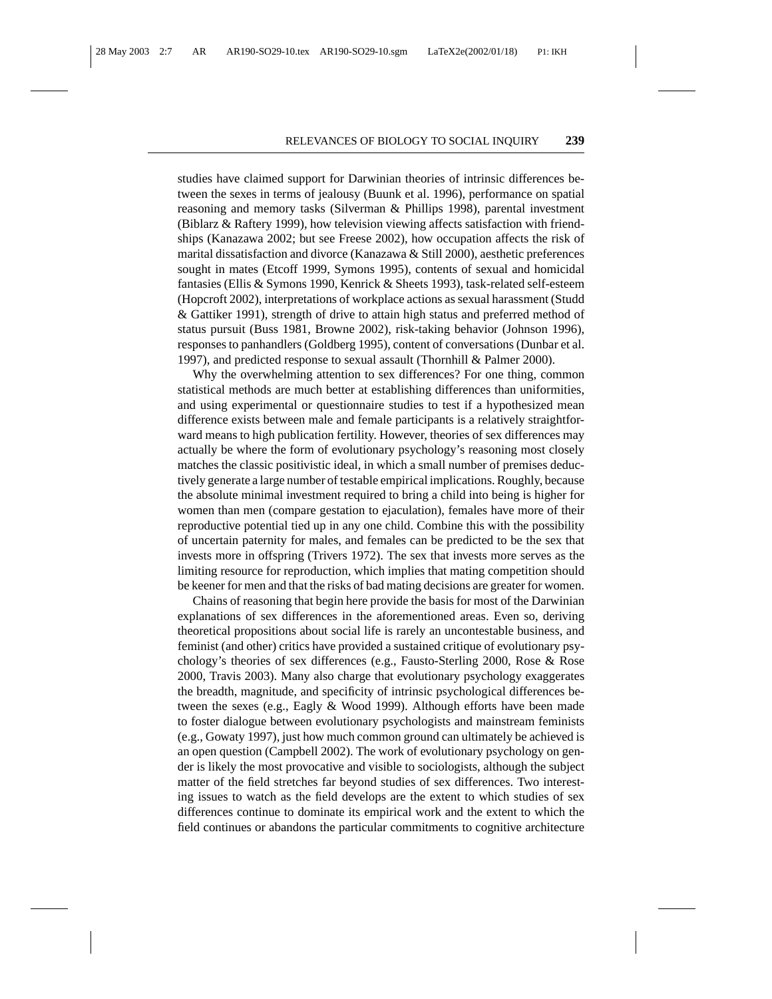studies have claimed support for Darwinian theories of intrinsic differences between the sexes in terms of jealousy (Buunk et al. 1996), performance on spatial reasoning and memory tasks (Silverman & Phillips 1998), parental investment (Biblarz & Raftery 1999), how television viewing affects satisfaction with friendships (Kanazawa 2002; but see Freese 2002), how occupation affects the risk of marital dissatisfaction and divorce (Kanazawa & Still 2000), aesthetic preferences sought in mates (Etcoff 1999, Symons 1995), contents of sexual and homicidal fantasies (Ellis & Symons 1990, Kenrick & Sheets 1993), task-related self-esteem (Hopcroft 2002), interpretations of workplace actions as sexual harassment (Studd & Gattiker 1991), strength of drive to attain high status and preferred method of status pursuit (Buss 1981, Browne 2002), risk-taking behavior (Johnson 1996), responses to panhandlers (Goldberg 1995), content of conversations (Dunbar et al. 1997), and predicted response to sexual assault (Thornhill & Palmer 2000).

Why the overwhelming attention to sex differences? For one thing, common statistical methods are much better at establishing differences than uniformities, and using experimental or questionnaire studies to test if a hypothesized mean difference exists between male and female participants is a relatively straightforward means to high publication fertility. However, theories of sex differences may actually be where the form of evolutionary psychology's reasoning most closely matches the classic positivistic ideal, in which a small number of premises deductively generate a large number of testable empirical implications. Roughly, because the absolute minimal investment required to bring a child into being is higher for women than men (compare gestation to ejaculation), females have more of their reproductive potential tied up in any one child. Combine this with the possibility of uncertain paternity for males, and females can be predicted to be the sex that invests more in offspring (Trivers 1972). The sex that invests more serves as the limiting resource for reproduction, which implies that mating competition should be keener for men and that the risks of bad mating decisions are greater for women.

Chains of reasoning that begin here provide the basis for most of the Darwinian explanations of sex differences in the aforementioned areas. Even so, deriving theoretical propositions about social life is rarely an uncontestable business, and feminist (and other) critics have provided a sustained critique of evolutionary psychology's theories of sex differences (e.g., Fausto-Sterling 2000, Rose & Rose 2000, Travis 2003). Many also charge that evolutionary psychology exaggerates the breadth, magnitude, and specificity of intrinsic psychological differences between the sexes (e.g., Eagly & Wood 1999). Although efforts have been made to foster dialogue between evolutionary psychologists and mainstream feminists (e.g., Gowaty 1997), just how much common ground can ultimately be achieved is an open question (Campbell 2002). The work of evolutionary psychology on gender is likely the most provocative and visible to sociologists, although the subject matter of the field stretches far beyond studies of sex differences. Two interesting issues to watch as the field develops are the extent to which studies of sex differences continue to dominate its empirical work and the extent to which the field continues or abandons the particular commitments to cognitive architecture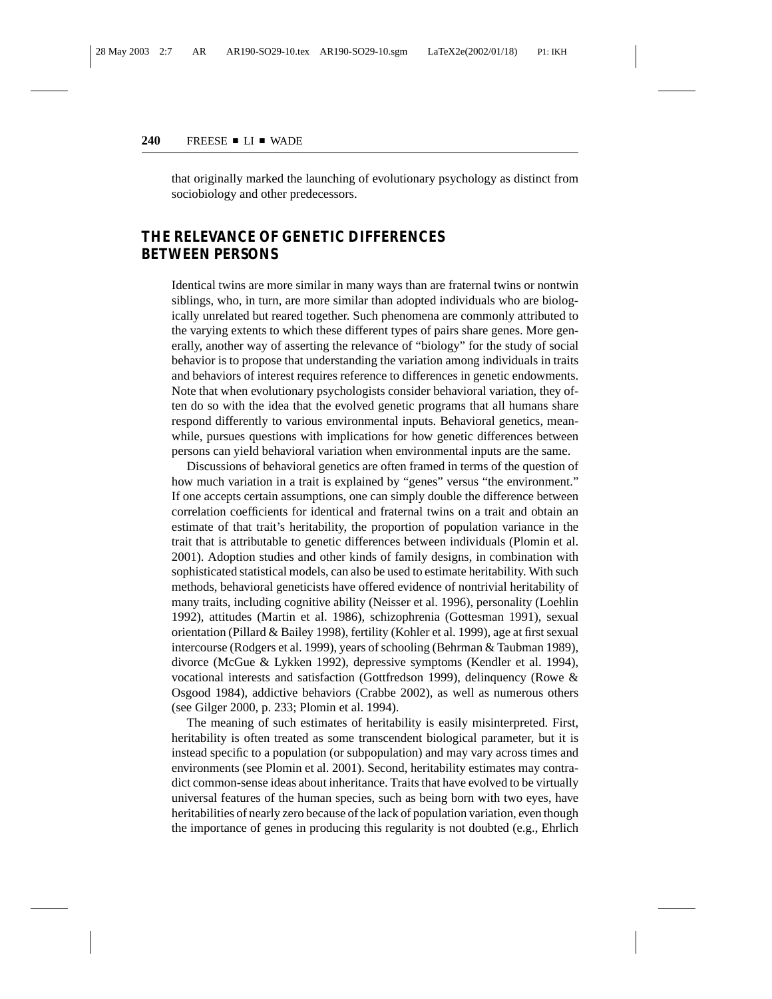that originally marked the launching of evolutionary psychology as distinct from sociobiology and other predecessors.

## **THE RELEVANCE OF GENETIC DIFFERENCES BETWEEN PERSONS**

Identical twins are more similar in many ways than are fraternal twins or nontwin siblings, who, in turn, are more similar than adopted individuals who are biologically unrelated but reared together. Such phenomena are commonly attributed to the varying extents to which these different types of pairs share genes. More generally, another way of asserting the relevance of "biology" for the study of social behavior is to propose that understanding the variation among individuals in traits and behaviors of interest requires reference to differences in genetic endowments. Note that when evolutionary psychologists consider behavioral variation, they often do so with the idea that the evolved genetic programs that all humans share respond differently to various environmental inputs. Behavioral genetics, meanwhile, pursues questions with implications for how genetic differences between persons can yield behavioral variation when environmental inputs are the same.

Discussions of behavioral genetics are often framed in terms of the question of how much variation in a trait is explained by "genes" versus "the environment." If one accepts certain assumptions, one can simply double the difference between correlation coefficients for identical and fraternal twins on a trait and obtain an estimate of that trait's heritability, the proportion of population variance in the trait that is attributable to genetic differences between individuals (Plomin et al. 2001). Adoption studies and other kinds of family designs, in combination with sophisticated statistical models, can also be used to estimate heritability. With such methods, behavioral geneticists have offered evidence of nontrivial heritability of many traits, including cognitive ability (Neisser et al. 1996), personality (Loehlin 1992), attitudes (Martin et al. 1986), schizophrenia (Gottesman 1991), sexual orientation (Pillard & Bailey 1998), fertility (Kohler et al. 1999), age at first sexual intercourse (Rodgers et al. 1999), years of schooling (Behrman & Taubman 1989), divorce (McGue & Lykken 1992), depressive symptoms (Kendler et al. 1994), vocational interests and satisfaction (Gottfredson 1999), delinquency (Rowe & Osgood 1984), addictive behaviors (Crabbe 2002), as well as numerous others (see Gilger 2000, p. 233; Plomin et al. 1994).

The meaning of such estimates of heritability is easily misinterpreted. First, heritability is often treated as some transcendent biological parameter, but it is instead specific to a population (or subpopulation) and may vary across times and environments (see Plomin et al. 2001). Second, heritability estimates may contradict common-sense ideas about inheritance. Traits that have evolved to be virtually universal features of the human species, such as being born with two eyes, have heritabilities of nearly zero because of the lack of population variation, even though the importance of genes in producing this regularity is not doubted (e.g., Ehrlich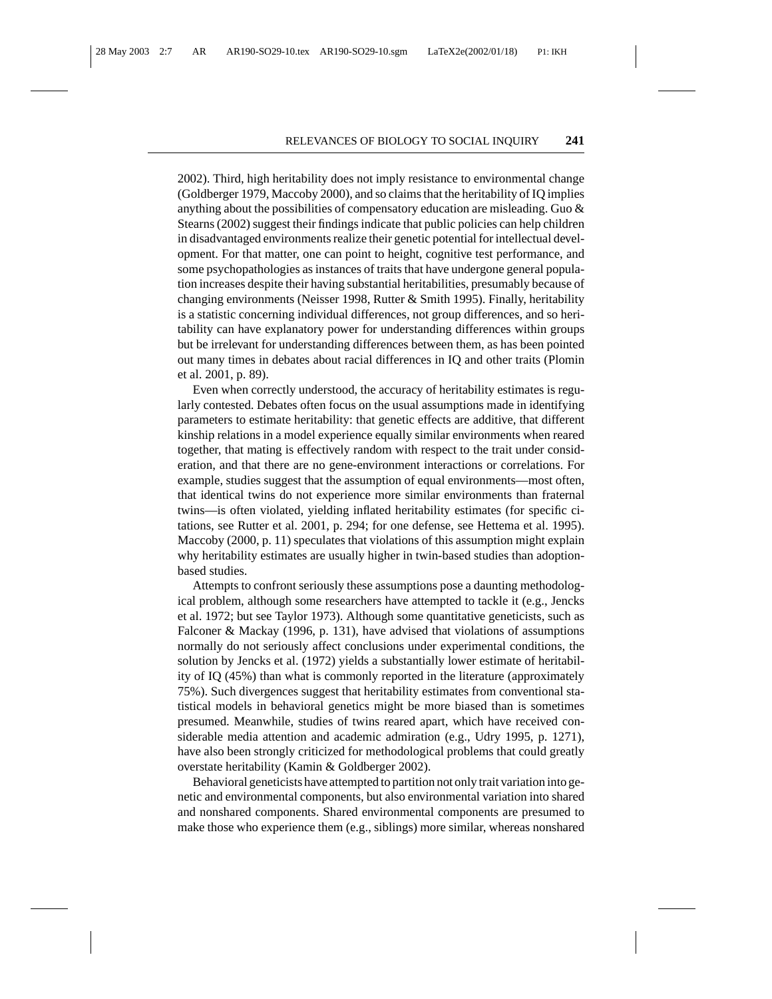2002). Third, high heritability does not imply resistance to environmental change (Goldberger 1979, Maccoby 2000), and so claims that the heritability of IQ implies anything about the possibilities of compensatory education are misleading. Guo & Stearns (2002) suggest their findings indicate that public policies can help children in disadvantaged environments realize their genetic potential for intellectual development. For that matter, one can point to height, cognitive test performance, and some psychopathologies as instances of traits that have undergone general population increases despite their having substantial heritabilities, presumably because of changing environments (Neisser 1998, Rutter & Smith 1995). Finally, heritability is a statistic concerning individual differences, not group differences, and so heritability can have explanatory power for understanding differences within groups but be irrelevant for understanding differences between them, as has been pointed out many times in debates about racial differences in IQ and other traits (Plomin et al. 2001, p. 89).

Even when correctly understood, the accuracy of heritability estimates is regularly contested. Debates often focus on the usual assumptions made in identifying parameters to estimate heritability: that genetic effects are additive, that different kinship relations in a model experience equally similar environments when reared together, that mating is effectively random with respect to the trait under consideration, and that there are no gene-environment interactions or correlations. For example, studies suggest that the assumption of equal environments—most often, that identical twins do not experience more similar environments than fraternal twins—is often violated, yielding inflated heritability estimates (for specific citations, see Rutter et al. 2001, p. 294; for one defense, see Hettema et al. 1995). Maccoby (2000, p. 11) speculates that violations of this assumption might explain why heritability estimates are usually higher in twin-based studies than adoptionbased studies.

Attempts to confront seriously these assumptions pose a daunting methodological problem, although some researchers have attempted to tackle it (e.g., Jencks et al. 1972; but see Taylor 1973). Although some quantitative geneticists, such as Falconer & Mackay (1996, p. 131), have advised that violations of assumptions normally do not seriously affect conclusions under experimental conditions, the solution by Jencks et al. (1972) yields a substantially lower estimate of heritability of IQ (45%) than what is commonly reported in the literature (approximately 75%). Such divergences suggest that heritability estimates from conventional statistical models in behavioral genetics might be more biased than is sometimes presumed. Meanwhile, studies of twins reared apart, which have received considerable media attention and academic admiration (e.g., Udry 1995, p. 1271), have also been strongly criticized for methodological problems that could greatly overstate heritability (Kamin & Goldberger 2002).

Behavioral geneticists have attempted to partition not only trait variation into genetic and environmental components, but also environmental variation into shared and nonshared components. Shared environmental components are presumed to make those who experience them (e.g., siblings) more similar, whereas nonshared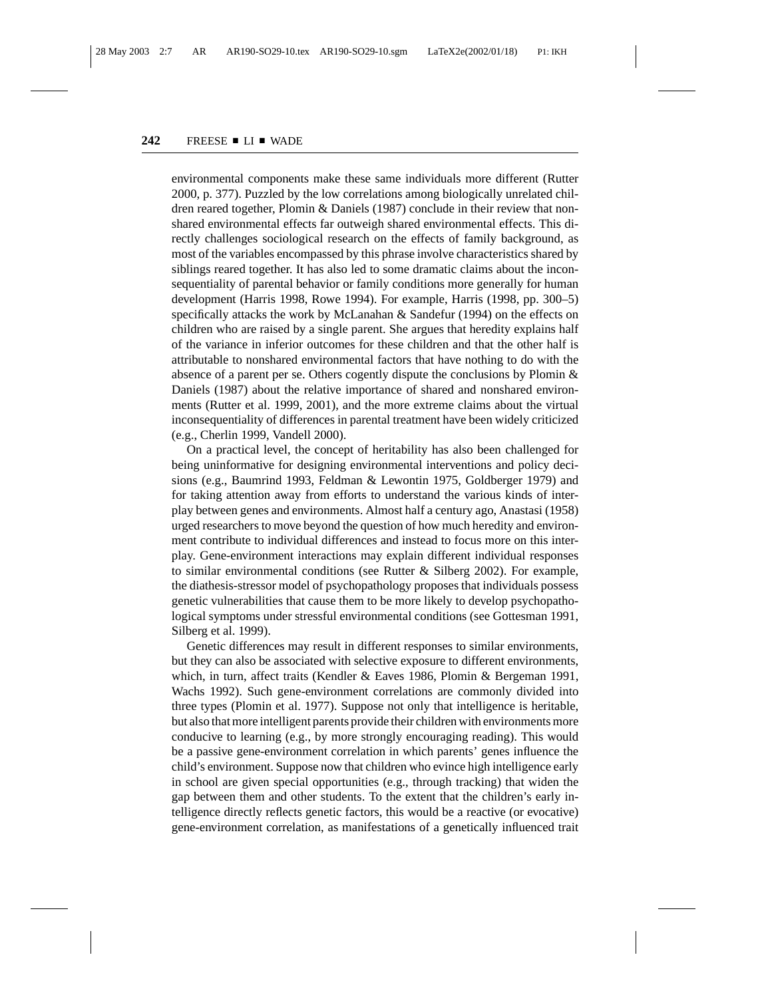environmental components make these same individuals more different (Rutter 2000, p. 377). Puzzled by the low correlations among biologically unrelated children reared together, Plomin & Daniels (1987) conclude in their review that nonshared environmental effects far outweigh shared environmental effects. This directly challenges sociological research on the effects of family background, as most of the variables encompassed by this phrase involve characteristics shared by siblings reared together. It has also led to some dramatic claims about the inconsequentiality of parental behavior or family conditions more generally for human development (Harris 1998, Rowe 1994). For example, Harris (1998, pp. 300–5) specifically attacks the work by McLanahan & Sandefur (1994) on the effects on children who are raised by a single parent. She argues that heredity explains half of the variance in inferior outcomes for these children and that the other half is attributable to nonshared environmental factors that have nothing to do with the absence of a parent per se. Others cogently dispute the conclusions by Plomin & Daniels (1987) about the relative importance of shared and nonshared environments (Rutter et al. 1999, 2001), and the more extreme claims about the virtual inconsequentiality of differences in parental treatment have been widely criticized (e.g., Cherlin 1999, Vandell 2000).

On a practical level, the concept of heritability has also been challenged for being uninformative for designing environmental interventions and policy decisions (e.g., Baumrind 1993, Feldman & Lewontin 1975, Goldberger 1979) and for taking attention away from efforts to understand the various kinds of interplay between genes and environments. Almost half a century ago, Anastasi (1958) urged researchers to move beyond the question of how much heredity and environment contribute to individual differences and instead to focus more on this interplay. Gene-environment interactions may explain different individual responses to similar environmental conditions (see Rutter  $\&$  Silberg 2002). For example, the diathesis-stressor model of psychopathology proposes that individuals possess genetic vulnerabilities that cause them to be more likely to develop psychopathological symptoms under stressful environmental conditions (see Gottesman 1991, Silberg et al. 1999).

Genetic differences may result in different responses to similar environments, but they can also be associated with selective exposure to different environments, which, in turn, affect traits (Kendler & Eaves 1986, Plomin & Bergeman 1991, Wachs 1992). Such gene-environment correlations are commonly divided into three types (Plomin et al. 1977). Suppose not only that intelligence is heritable, but also that more intelligent parents provide their children with environments more conducive to learning (e.g., by more strongly encouraging reading). This would be a passive gene-environment correlation in which parents' genes influence the child's environment. Suppose now that children who evince high intelligence early in school are given special opportunities (e.g., through tracking) that widen the gap between them and other students. To the extent that the children's early intelligence directly reflects genetic factors, this would be a reactive (or evocative) gene-environment correlation, as manifestations of a genetically influenced trait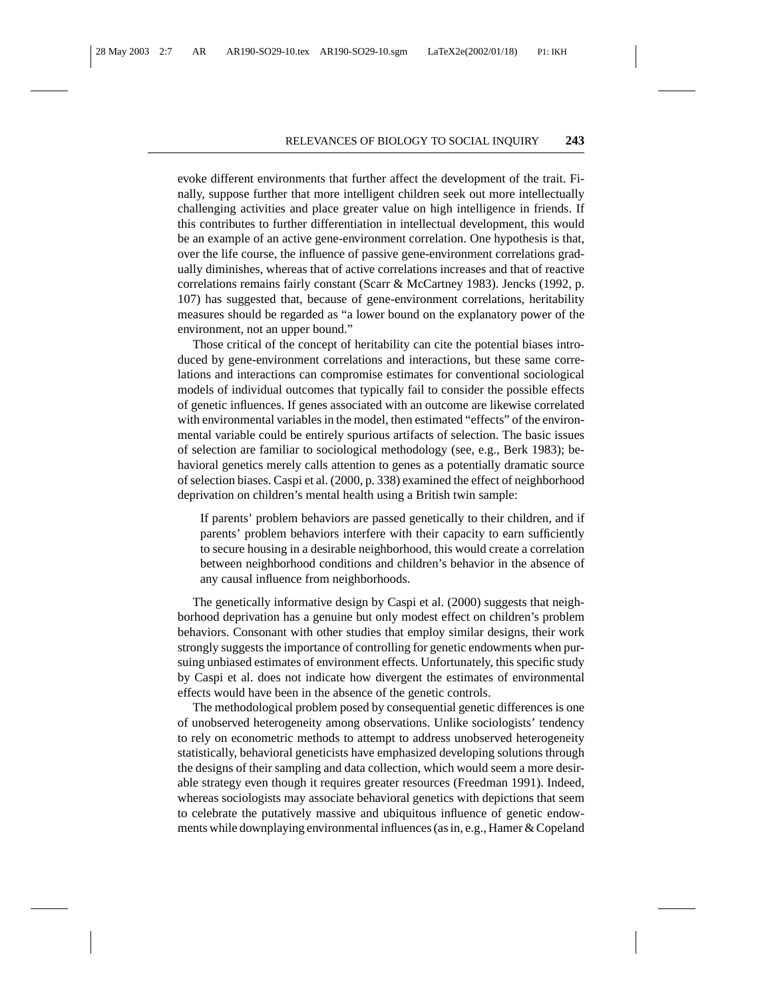evoke different environments that further affect the development of the trait. Finally, suppose further that more intelligent children seek out more intellectually challenging activities and place greater value on high intelligence in friends. If this contributes to further differentiation in intellectual development, this would be an example of an active gene-environment correlation. One hypothesis is that, over the life course, the influence of passive gene-environment correlations gradually diminishes, whereas that of active correlations increases and that of reactive correlations remains fairly constant (Scarr & McCartney 1983). Jencks (1992, p. 107) has suggested that, because of gene-environment correlations, heritability measures should be regarded as "a lower bound on the explanatory power of the environment, not an upper bound."

Those critical of the concept of heritability can cite the potential biases introduced by gene-environment correlations and interactions, but these same correlations and interactions can compromise estimates for conventional sociological models of individual outcomes that typically fail to consider the possible effects of genetic influences. If genes associated with an outcome are likewise correlated with environmental variables in the model, then estimated "effects" of the environmental variable could be entirely spurious artifacts of selection. The basic issues of selection are familiar to sociological methodology (see, e.g., Berk 1983); behavioral genetics merely calls attention to genes as a potentially dramatic source of selection biases. Caspi et al. (2000, p. 338) examined the effect of neighborhood deprivation on children's mental health using a British twin sample:

If parents' problem behaviors are passed genetically to their children, and if parents' problem behaviors interfere with their capacity to earn sufficiently to secure housing in a desirable neighborhood, this would create a correlation between neighborhood conditions and children's behavior in the absence of any causal influence from neighborhoods.

The genetically informative design by Caspi et al. (2000) suggests that neighborhood deprivation has a genuine but only modest effect on children's problem behaviors. Consonant with other studies that employ similar designs, their work strongly suggests the importance of controlling for genetic endowments when pursuing unbiased estimates of environment effects. Unfortunately, this specific study by Caspi et al. does not indicate how divergent the estimates of environmental effects would have been in the absence of the genetic controls.

The methodological problem posed by consequential genetic differences is one of unobserved heterogeneity among observations. Unlike sociologists' tendency to rely on econometric methods to attempt to address unobserved heterogeneity statistically, behavioral geneticists have emphasized developing solutions through the designs of their sampling and data collection, which would seem a more desirable strategy even though it requires greater resources (Freedman 1991). Indeed, whereas sociologists may associate behavioral genetics with depictions that seem to celebrate the putatively massive and ubiquitous influence of genetic endowments while downplaying environmental influences (as in, e.g., Hamer & Copeland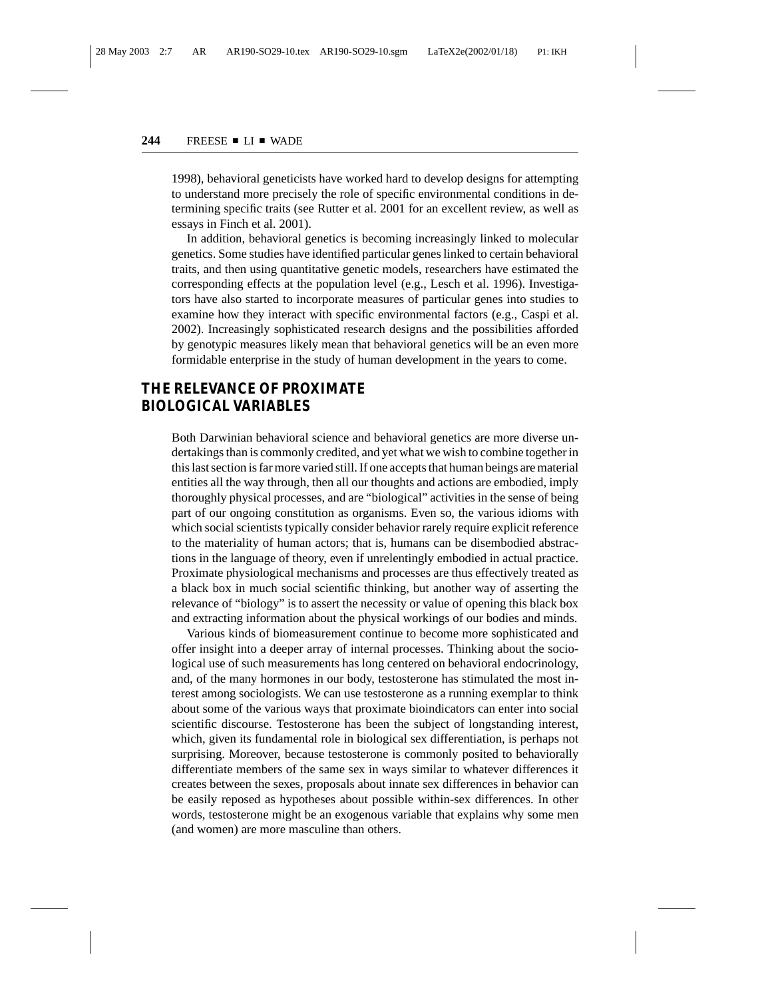1998), behavioral geneticists have worked hard to develop designs for attempting to understand more precisely the role of specific environmental conditions in determining specific traits (see Rutter et al. 2001 for an excellent review, as well as essays in Finch et al. 2001).

In addition, behavioral genetics is becoming increasingly linked to molecular genetics. Some studies have identified particular genes linked to certain behavioral traits, and then using quantitative genetic models, researchers have estimated the corresponding effects at the population level (e.g., Lesch et al. 1996). Investigators have also started to incorporate measures of particular genes into studies to examine how they interact with specific environmental factors (e.g., Caspi et al. 2002). Increasingly sophisticated research designs and the possibilities afforded by genotypic measures likely mean that behavioral genetics will be an even more formidable enterprise in the study of human development in the years to come.

#### **THE RELEVANCE OF PROXIMATE BIOLOGICAL VARIABLES**

Both Darwinian behavioral science and behavioral genetics are more diverse undertakings than is commonly credited, and yet what we wish to combine together in this last section is far more varied still. If one accepts that human beings are material entities all the way through, then all our thoughts and actions are embodied, imply thoroughly physical processes, and are "biological" activities in the sense of being part of our ongoing constitution as organisms. Even so, the various idioms with which social scientists typically consider behavior rarely require explicit reference to the materiality of human actors; that is, humans can be disembodied abstractions in the language of theory, even if unrelentingly embodied in actual practice. Proximate physiological mechanisms and processes are thus effectively treated as a black box in much social scientific thinking, but another way of asserting the relevance of "biology" is to assert the necessity or value of opening this black box and extracting information about the physical workings of our bodies and minds.

Various kinds of biomeasurement continue to become more sophisticated and offer insight into a deeper array of internal processes. Thinking about the sociological use of such measurements has long centered on behavioral endocrinology, and, of the many hormones in our body, testosterone has stimulated the most interest among sociologists. We can use testosterone as a running exemplar to think about some of the various ways that proximate bioindicators can enter into social scientific discourse. Testosterone has been the subject of longstanding interest, which, given its fundamental role in biological sex differentiation, is perhaps not surprising. Moreover, because testosterone is commonly posited to behaviorally differentiate members of the same sex in ways similar to whatever differences it creates between the sexes, proposals about innate sex differences in behavior can be easily reposed as hypotheses about possible within-sex differences. In other words, testosterone might be an exogenous variable that explains why some men (and women) are more masculine than others.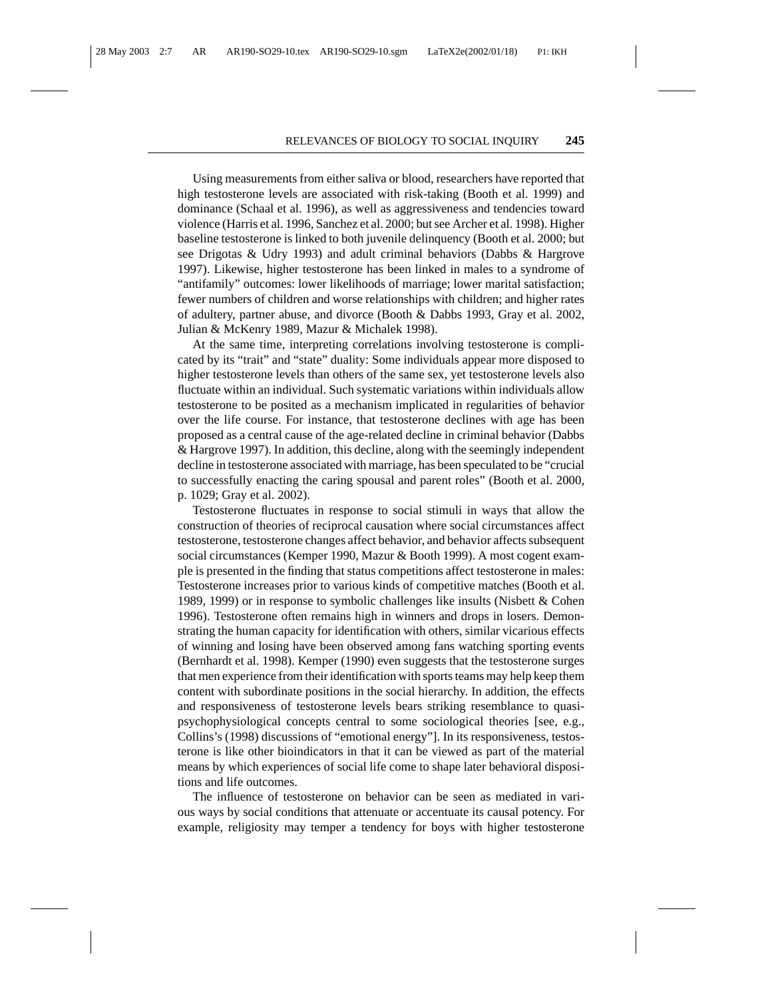Using measurements from either saliva or blood, researchers have reported that high testosterone levels are associated with risk-taking (Booth et al. 1999) and dominance (Schaal et al. 1996), as well as aggressiveness and tendencies toward violence (Harris et al. 1996, Sanchez et al. 2000; but see Archer et al. 1998). Higher baseline testosterone is linked to both juvenile delinquency (Booth et al. 2000; but see Drigotas & Udry 1993) and adult criminal behaviors (Dabbs & Hargrove 1997). Likewise, higher testosterone has been linked in males to a syndrome of "antifamily" outcomes: lower likelihoods of marriage; lower marital satisfaction; fewer numbers of children and worse relationships with children; and higher rates of adultery, partner abuse, and divorce (Booth & Dabbs 1993, Gray et al. 2002, Julian & McKenry 1989, Mazur & Michalek 1998).

At the same time, interpreting correlations involving testosterone is complicated by its "trait" and "state" duality: Some individuals appear more disposed to higher testosterone levels than others of the same sex, yet testosterone levels also fluctuate within an individual. Such systematic variations within individuals allow testosterone to be posited as a mechanism implicated in regularities of behavior over the life course. For instance, that testosterone declines with age has been proposed as a central cause of the age-related decline in criminal behavior (Dabbs & Hargrove 1997). In addition, this decline, along with the seemingly independent decline in testosterone associated with marriage, has been speculated to be "crucial to successfully enacting the caring spousal and parent roles" (Booth et al. 2000, p. 1029; Gray et al. 2002).

Testosterone fluctuates in response to social stimuli in ways that allow the construction of theories of reciprocal causation where social circumstances affect testosterone, testosterone changes affect behavior, and behavior affects subsequent social circumstances (Kemper 1990, Mazur & Booth 1999). A most cogent example is presented in the finding that status competitions affect testosterone in males: Testosterone increases prior to various kinds of competitive matches (Booth et al. 1989, 1999) or in response to symbolic challenges like insults (Nisbett & Cohen 1996). Testosterone often remains high in winners and drops in losers. Demonstrating the human capacity for identification with others, similar vicarious effects of winning and losing have been observed among fans watching sporting events (Bernhardt et al. 1998). Kemper (1990) even suggests that the testosterone surges that men experience from their identification with sports teams may help keep them content with subordinate positions in the social hierarchy. In addition, the effects and responsiveness of testosterone levels bears striking resemblance to quasipsychophysiological concepts central to some sociological theories [see, e.g., Collins's (1998) discussions of "emotional energy"]. In its responsiveness, testosterone is like other bioindicators in that it can be viewed as part of the material means by which experiences of social life come to shape later behavioral dispositions and life outcomes.

The influence of testosterone on behavior can be seen as mediated in various ways by social conditions that attenuate or accentuate its causal potency. For example, religiosity may temper a tendency for boys with higher testosterone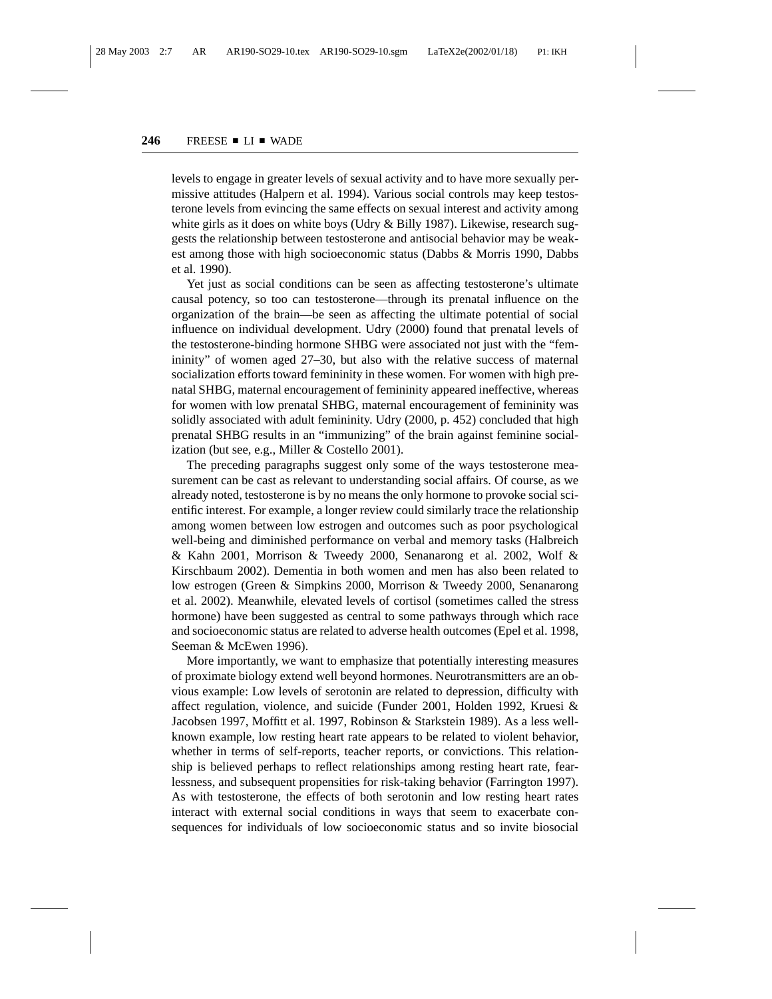levels to engage in greater levels of sexual activity and to have more sexually permissive attitudes (Halpern et al. 1994). Various social controls may keep testosterone levels from evincing the same effects on sexual interest and activity among white girls as it does on white boys (Udry & Billy 1987). Likewise, research suggests the relationship between testosterone and antisocial behavior may be weakest among those with high socioeconomic status (Dabbs & Morris 1990, Dabbs et al. 1990).

Yet just as social conditions can be seen as affecting testosterone's ultimate causal potency, so too can testosterone—through its prenatal influence on the organization of the brain—be seen as affecting the ultimate potential of social influence on individual development. Udry (2000) found that prenatal levels of the testosterone-binding hormone SHBG were associated not just with the "femininity" of women aged 27–30, but also with the relative success of maternal socialization efforts toward femininity in these women. For women with high prenatal SHBG, maternal encouragement of femininity appeared ineffective, whereas for women with low prenatal SHBG, maternal encouragement of femininity was solidly associated with adult femininity. Udry (2000, p. 452) concluded that high prenatal SHBG results in an "immunizing" of the brain against feminine socialization (but see, e.g., Miller & Costello 2001).

The preceding paragraphs suggest only some of the ways testosterone measurement can be cast as relevant to understanding social affairs. Of course, as we already noted, testosterone is by no means the only hormone to provoke social scientific interest. For example, a longer review could similarly trace the relationship among women between low estrogen and outcomes such as poor psychological well-being and diminished performance on verbal and memory tasks (Halbreich & Kahn 2001, Morrison & Tweedy 2000, Senanarong et al. 2002, Wolf & Kirschbaum 2002). Dementia in both women and men has also been related to low estrogen (Green & Simpkins 2000, Morrison & Tweedy 2000, Senanarong et al. 2002). Meanwhile, elevated levels of cortisol (sometimes called the stress hormone) have been suggested as central to some pathways through which race and socioeconomic status are related to adverse health outcomes (Epel et al. 1998, Seeman & McEwen 1996).

More importantly, we want to emphasize that potentially interesting measures of proximate biology extend well beyond hormones. Neurotransmitters are an obvious example: Low levels of serotonin are related to depression, difficulty with affect regulation, violence, and suicide (Funder 2001, Holden 1992, Kruesi & Jacobsen 1997, Moffitt et al. 1997, Robinson & Starkstein 1989). As a less wellknown example, low resting heart rate appears to be related to violent behavior, whether in terms of self-reports, teacher reports, or convictions. This relationship is believed perhaps to reflect relationships among resting heart rate, fearlessness, and subsequent propensities for risk-taking behavior (Farrington 1997). As with testosterone, the effects of both serotonin and low resting heart rates interact with external social conditions in ways that seem to exacerbate consequences for individuals of low socioeconomic status and so invite biosocial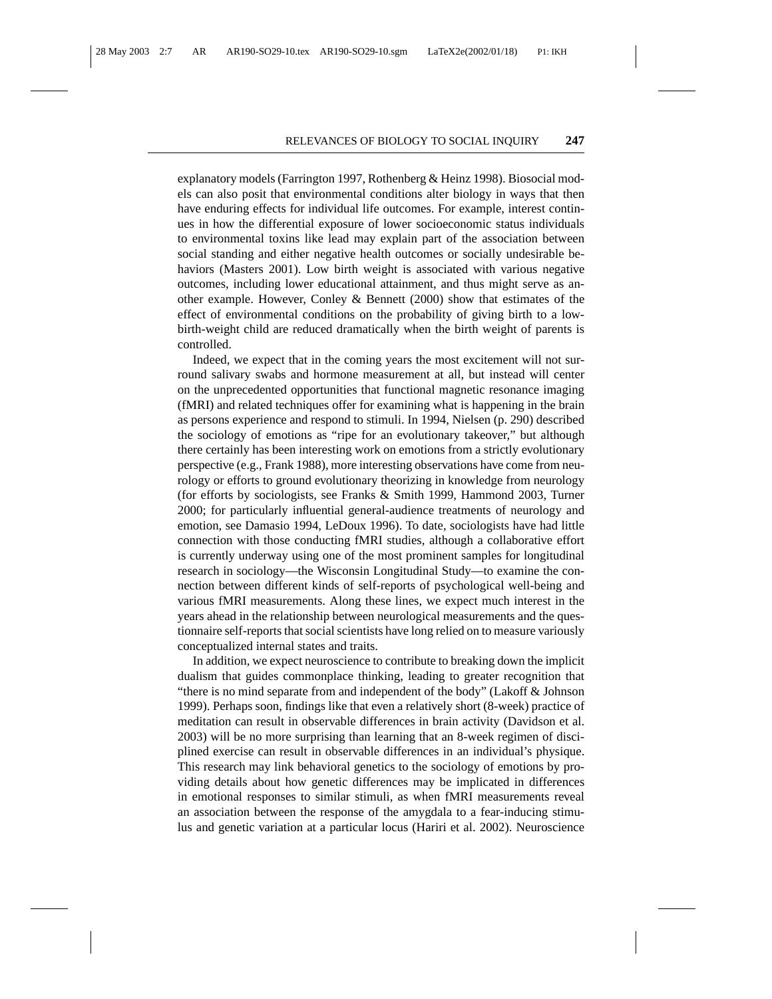explanatory models (Farrington 1997, Rothenberg & Heinz 1998). Biosocial models can also posit that environmental conditions alter biology in ways that then have enduring effects for individual life outcomes. For example, interest continues in how the differential exposure of lower socioeconomic status individuals to environmental toxins like lead may explain part of the association between social standing and either negative health outcomes or socially undesirable behaviors (Masters 2001). Low birth weight is associated with various negative outcomes, including lower educational attainment, and thus might serve as another example. However, Conley & Bennett  $(2000)$  show that estimates of the effect of environmental conditions on the probability of giving birth to a lowbirth-weight child are reduced dramatically when the birth weight of parents is controlled.

Indeed, we expect that in the coming years the most excitement will not surround salivary swabs and hormone measurement at all, but instead will center on the unprecedented opportunities that functional magnetic resonance imaging (fMRI) and related techniques offer for examining what is happening in the brain as persons experience and respond to stimuli. In 1994, Nielsen (p. 290) described the sociology of emotions as "ripe for an evolutionary takeover," but although there certainly has been interesting work on emotions from a strictly evolutionary perspective (e.g., Frank 1988), more interesting observations have come from neurology or efforts to ground evolutionary theorizing in knowledge from neurology (for efforts by sociologists, see Franks & Smith 1999, Hammond 2003, Turner 2000; for particularly influential general-audience treatments of neurology and emotion, see Damasio 1994, LeDoux 1996). To date, sociologists have had little connection with those conducting fMRI studies, although a collaborative effort is currently underway using one of the most prominent samples for longitudinal research in sociology—the Wisconsin Longitudinal Study—to examine the connection between different kinds of self-reports of psychological well-being and various fMRI measurements. Along these lines, we expect much interest in the years ahead in the relationship between neurological measurements and the questionnaire self-reports that social scientists have long relied on to measure variously conceptualized internal states and traits.

In addition, we expect neuroscience to contribute to breaking down the implicit dualism that guides commonplace thinking, leading to greater recognition that "there is no mind separate from and independent of the body" (Lakoff & Johnson 1999). Perhaps soon, findings like that even a relatively short (8-week) practice of meditation can result in observable differences in brain activity (Davidson et al. 2003) will be no more surprising than learning that an 8-week regimen of disciplined exercise can result in observable differences in an individual's physique. This research may link behavioral genetics to the sociology of emotions by providing details about how genetic differences may be implicated in differences in emotional responses to similar stimuli, as when fMRI measurements reveal an association between the response of the amygdala to a fear-inducing stimulus and genetic variation at a particular locus (Hariri et al. 2002). Neuroscience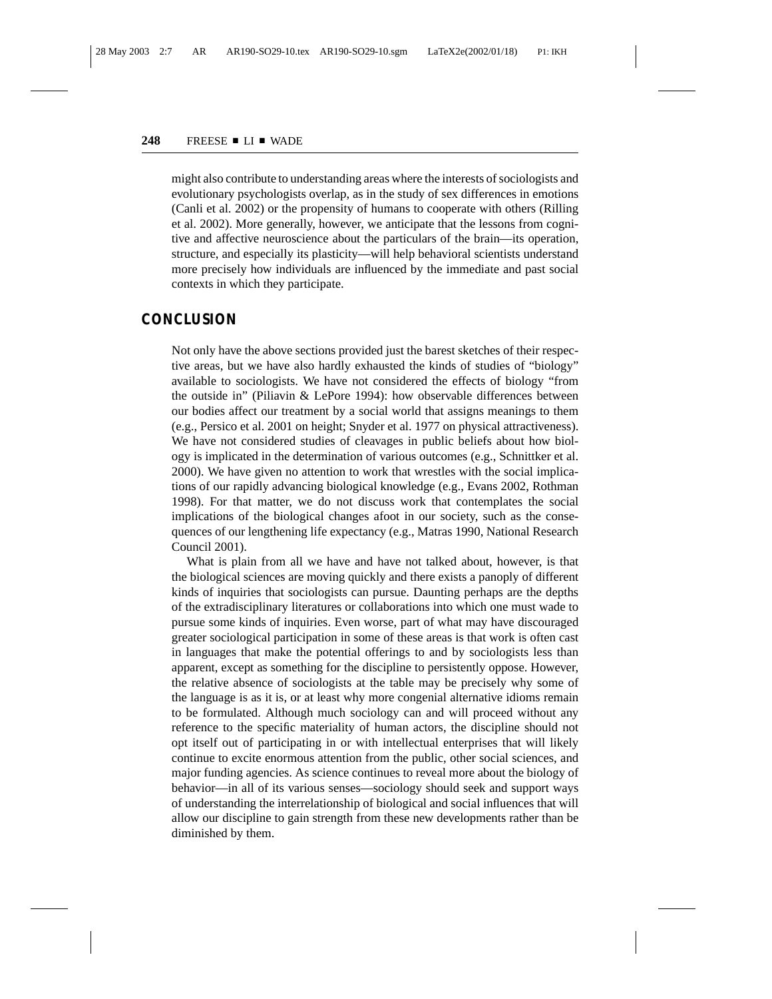might also contribute to understanding areas where the interests of sociologists and evolutionary psychologists overlap, as in the study of sex differences in emotions (Canli et al. 2002) or the propensity of humans to cooperate with others (Rilling et al. 2002). More generally, however, we anticipate that the lessons from cognitive and affective neuroscience about the particulars of the brain—its operation, structure, and especially its plasticity—will help behavioral scientists understand more precisely how individuals are influenced by the immediate and past social contexts in which they participate.

#### **CONCLUSION**

Not only have the above sections provided just the barest sketches of their respective areas, but we have also hardly exhausted the kinds of studies of "biology" available to sociologists. We have not considered the effects of biology "from the outside in" (Piliavin & LePore 1994): how observable differences between our bodies affect our treatment by a social world that assigns meanings to them (e.g., Persico et al. 2001 on height; Snyder et al. 1977 on physical attractiveness). We have not considered studies of cleavages in public beliefs about how biology is implicated in the determination of various outcomes (e.g., Schnittker et al. 2000). We have given no attention to work that wrestles with the social implications of our rapidly advancing biological knowledge (e.g., Evans 2002, Rothman 1998). For that matter, we do not discuss work that contemplates the social implications of the biological changes afoot in our society, such as the consequences of our lengthening life expectancy (e.g., Matras 1990, National Research Council 2001).

What is plain from all we have and have not talked about, however, is that the biological sciences are moving quickly and there exists a panoply of different kinds of inquiries that sociologists can pursue. Daunting perhaps are the depths of the extradisciplinary literatures or collaborations into which one must wade to pursue some kinds of inquiries. Even worse, part of what may have discouraged greater sociological participation in some of these areas is that work is often cast in languages that make the potential offerings to and by sociologists less than apparent, except as something for the discipline to persistently oppose. However, the relative absence of sociologists at the table may be precisely why some of the language is as it is, or at least why more congenial alternative idioms remain to be formulated. Although much sociology can and will proceed without any reference to the specific materiality of human actors, the discipline should not opt itself out of participating in or with intellectual enterprises that will likely continue to excite enormous attention from the public, other social sciences, and major funding agencies. As science continues to reveal more about the biology of behavior—in all of its various senses—sociology should seek and support ways of understanding the interrelationship of biological and social influences that will allow our discipline to gain strength from these new developments rather than be diminished by them.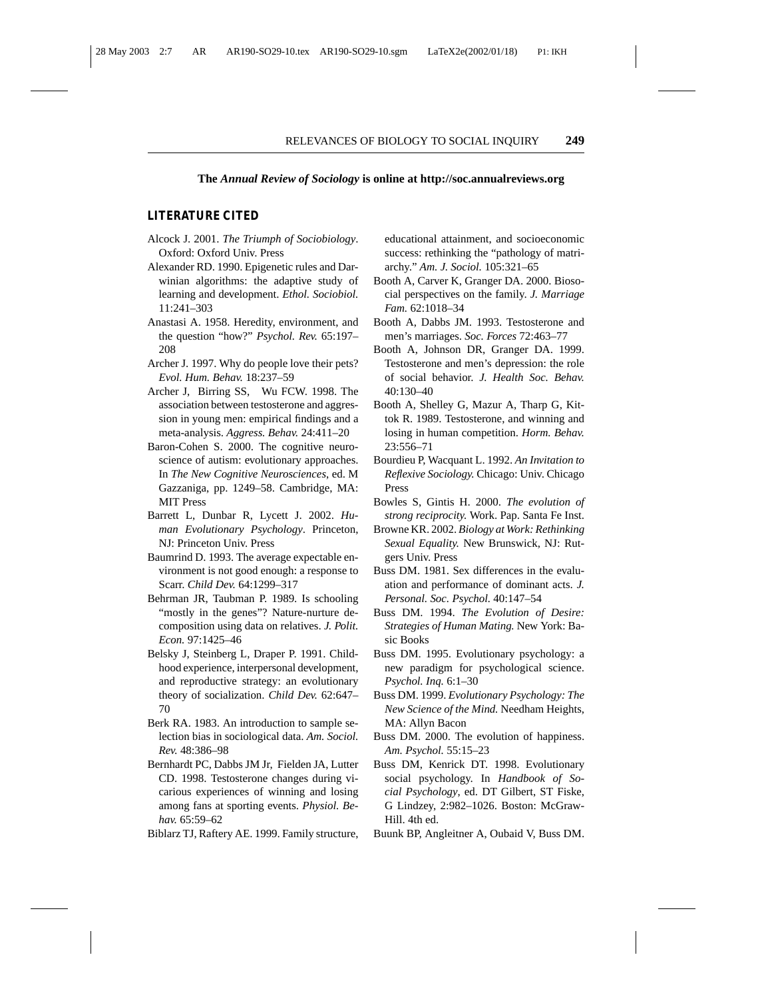#### **The** *Annual Review of Sociology* **is online at http://soc.annualreviews.org**

#### **LITERATURE CITED**

- Alcock J. 2001. *The Triumph of Sociobiology*. Oxford: Oxford Univ. Press
- Alexander RD. 1990. Epigenetic rules and Darwinian algorithms: the adaptive study of learning and development. *Ethol. Sociobiol.* 11:241–303
- Anastasi A. 1958. Heredity, environment, and the question "how?" *Psychol. Rev.* 65:197– 208
- Archer J. 1997. Why do people love their pets? *Evol. Hum. Behav.* 18:237–59
- Archer J, Birring SS, Wu FCW. 1998. The association between testosterone and aggression in young men: empirical findings and a meta-analysis. *Aggress. Behav.* 24:411–20
- Baron-Cohen S. 2000. The cognitive neuroscience of autism: evolutionary approaches. In *The New Cognitive Neurosciences*, ed. M Gazzaniga, pp. 1249–58. Cambridge, MA: MIT Press
- Barrett L, Dunbar R, Lycett J. 2002. *Human Evolutionary Psychology*. Princeton, NJ: Princeton Univ. Press
- Baumrind D. 1993. The average expectable environment is not good enough: a response to Scarr. *Child Dev.* 64:1299–317
- Behrman JR, Taubman P. 1989. Is schooling "mostly in the genes"? Nature-nurture decomposition using data on relatives. *J. Polit. Econ.* 97:1425–46
- Belsky J, Steinberg L, Draper P. 1991. Childhood experience, interpersonal development, and reproductive strategy: an evolutionary theory of socialization. *Child Dev.* 62:647– 70
- Berk RA. 1983. An introduction to sample selection bias in sociological data. *Am. Sociol. Rev.* 48:386–98
- Bernhardt PC, Dabbs JM Jr, Fielden JA, Lutter CD. 1998. Testosterone changes during vicarious experiences of winning and losing among fans at sporting events. *Physiol. Behav.* 65:59–62
- Biblarz TJ, Raftery AE. 1999. Family structure,

educational attainment, and socioeconomic success: rethinking the "pathology of matriarchy." *Am. J. Sociol.* 105:321–65

- Booth A, Carver K, Granger DA. 2000. Biosocial perspectives on the family. *J. Marriage Fam.* 62:1018–34
- Booth A, Dabbs JM. 1993. Testosterone and men's marriages. *Soc. Forces* 72:463–77
- Booth A, Johnson DR, Granger DA. 1999. Testosterone and men's depression: the role of social behavior. *J. Health Soc. Behav.*  $40.130 - 40$
- Booth A, Shelley G, Mazur A, Tharp G, Kittok R. 1989. Testosterone, and winning and losing in human competition. *Horm. Behav.* 23:556–71
- Bourdieu P, Wacquant L. 1992. *An Invitation to Reflexive Sociology.* Chicago: Univ. Chicago Press
- Bowles S, Gintis H. 2000. *The evolution of strong reciprocity.* Work. Pap. Santa Fe Inst.
- Browne KR. 2002. *Biology at Work: Rethinking Sexual Equality.* New Brunswick, NJ: Rutgers Univ. Press
- Buss DM. 1981. Sex differences in the evaluation and performance of dominant acts. *J. Personal. Soc. Psychol.* 40:147–54
- Buss DM. 1994. *The Evolution of Desire: Strategies of Human Mating.* New York: Basic Books
- Buss DM. 1995. Evolutionary psychology: a new paradigm for psychological science. *Psychol. Inq.* 6:1–30
- Buss DM. 1999. *Evolutionary Psychology: The New Science of the Mind.* Needham Heights, MA: Allyn Bacon
- Buss DM. 2000. The evolution of happiness. *Am. Psychol.* 55:15–23
- Buss DM, Kenrick DT. 1998. Evolutionary social psychology. In *Handbook of Social Psychology*, ed. DT Gilbert, ST Fiske, G Lindzey, 2:982–1026. Boston: McGraw-Hill. 4th ed.
- Buunk BP, Angleitner A, Oubaid V, Buss DM.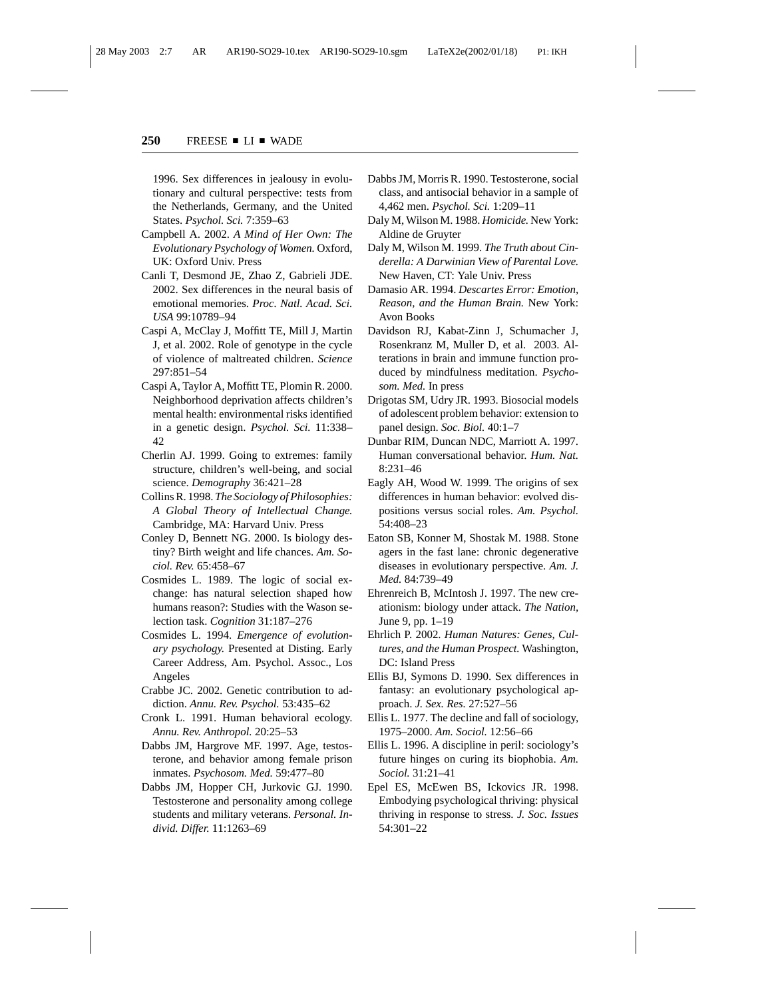1996. Sex differences in jealousy in evolutionary and cultural perspective: tests from the Netherlands, Germany, and the United States. *Psychol. Sci.* 7:359–63

- Campbell A. 2002. *A Mind of Her Own: The Evolutionary Psychology of Women.* Oxford, UK: Oxford Univ. Press
- Canli T, Desmond JE, Zhao Z, Gabrieli JDE. 2002. Sex differences in the neural basis of emotional memories. *Proc. Natl. Acad. Sci. USA* 99:10789–94
- Caspi A, McClay J, Moffitt TE, Mill J, Martin J, et al. 2002. Role of genotype in the cycle of violence of maltreated children. *Science* 297:851–54
- Caspi A, Taylor A, Moffitt TE, Plomin R. 2000. Neighborhood deprivation affects children's mental health: environmental risks identified in a genetic design. *Psychol. Sci.* 11:338– 42
- Cherlin AJ. 1999. Going to extremes: family structure, children's well-being, and social science. *Demography* 36:421–28
- Collins R. 1998. *The Sociology of Philosophies: A Global Theory of Intellectual Change.* Cambridge, MA: Harvard Univ. Press
- Conley D, Bennett NG. 2000. Is biology destiny? Birth weight and life chances. *Am. Sociol. Rev.* 65:458–67
- Cosmides L. 1989. The logic of social exchange: has natural selection shaped how humans reason?: Studies with the Wason selection task. *Cognition* 31:187–276
- Cosmides L. 1994. *Emergence of evolutionary psychology.* Presented at Disting. Early Career Address, Am. Psychol. Assoc., Los Angeles
- Crabbe JC. 2002. Genetic contribution to addiction. *Annu. Rev. Psychol.* 53:435–62
- Cronk L. 1991. Human behavioral ecology. *Annu. Rev. Anthropol.* 20:25–53
- Dabbs JM, Hargrove MF. 1997. Age, testosterone, and behavior among female prison inmates. *Psychosom. Med.* 59:477–80
- Dabbs JM, Hopper CH, Jurkovic GJ. 1990. Testosterone and personality among college students and military veterans. *Personal. Individ. Differ.* 11:1263–69
- Dabbs JM, Morris R. 1990. Testosterone, social class, and antisocial behavior in a sample of 4,462 men. *Psychol. Sci.* 1:209–11
- Daly M, Wilson M. 1988. *Homicide.* New York: Aldine de Gruyter
- Daly M, Wilson M. 1999. *The Truth about Cinderella: A Darwinian View of Parental Love.* New Haven, CT: Yale Univ. Press
- Damasio AR. 1994. *Descartes Error: Emotion, Reason, and the Human Brain.* New York: Avon Books
- Davidson RJ, Kabat-Zinn J, Schumacher J, Rosenkranz M, Muller D, et al. 2003. Alterations in brain and immune function produced by mindfulness meditation. *Psychosom. Med.* In press
- Drigotas SM, Udry JR. 1993. Biosocial models of adolescent problem behavior: extension to panel design. *Soc. Biol.* 40:1–7
- Dunbar RIM, Duncan NDC, Marriott A. 1997. Human conversational behavior. *Hum. Nat.* 8:231–46
- Eagly AH, Wood W. 1999. The origins of sex differences in human behavior: evolved dispositions versus social roles. *Am. Psychol.* 54:408–23
- Eaton SB, Konner M, Shostak M. 1988. Stone agers in the fast lane: chronic degenerative diseases in evolutionary perspective. *Am. J. Med.* 84:739–49
- Ehrenreich B, McIntosh J. 1997. The new creationism: biology under attack. *The Nation,* June 9, pp. 1–19
- Ehrlich P. 2002. *Human Natures: Genes, Cultures, and the Human Prospect.* Washington, DC: Island Press
- Ellis BJ, Symons D. 1990. Sex differences in fantasy: an evolutionary psychological approach. *J. Sex. Res.* 27:527–56
- Ellis L. 1977. The decline and fall of sociology, 1975–2000. *Am. Sociol.* 12:56–66
- Ellis L. 1996. A discipline in peril: sociology's future hinges on curing its biophobia. *Am. Sociol.* 31:21–41
- Epel ES, McEwen BS, Ickovics JR. 1998. Embodying psychological thriving: physical thriving in response to stress. *J. Soc. Issues* 54:301–22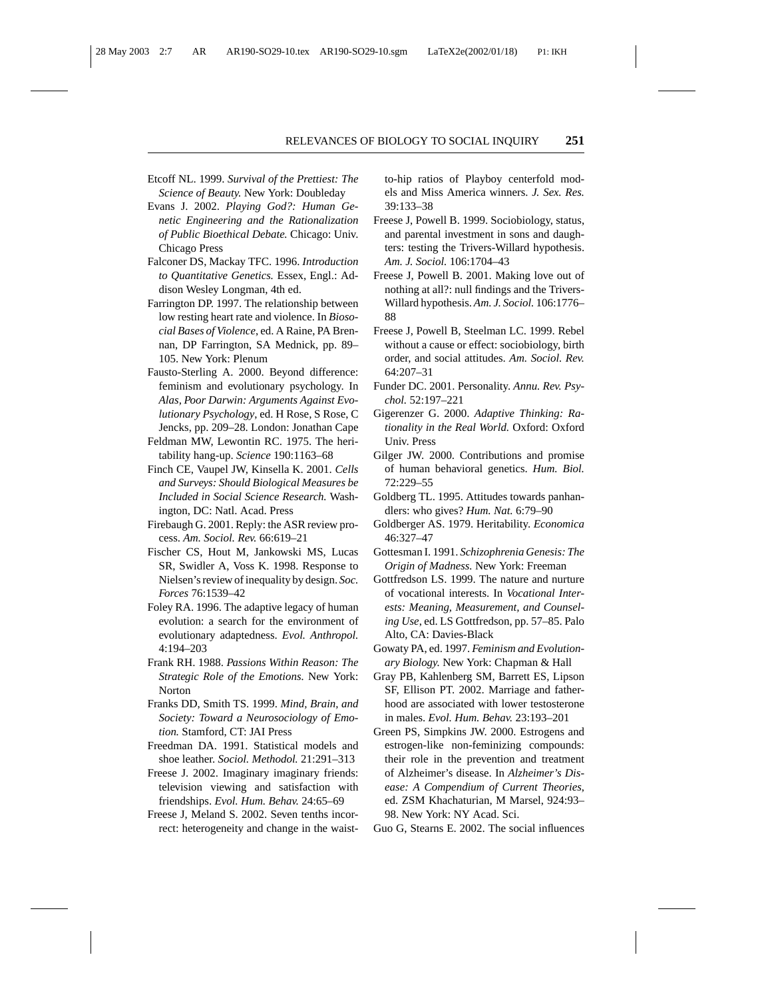- Etcoff NL. 1999. *Survival of the Prettiest: The Science of Beauty.* New York: Doubleday
- Evans J. 2002. *Playing God?: Human Genetic Engineering and the Rationalization of Public Bioethical Debate.* Chicago: Univ. Chicago Press
- Falconer DS, Mackay TFC. 1996. *Introduction to Quantitative Genetics.* Essex, Engl.: Addison Wesley Longman, 4th ed.
- Farrington DP. 1997. The relationship between low resting heart rate and violence. In *Biosocial Bases of Violence*, ed. A Raine, PA Brennan, DP Farrington, SA Mednick, pp. 89– 105. New York: Plenum
- Fausto-Sterling A. 2000. Beyond difference: feminism and evolutionary psychology. In *Alas, Poor Darwin: Arguments Against Evolutionary Psychology*, ed. H Rose, S Rose, C Jencks, pp. 209–28. London: Jonathan Cape
- Feldman MW, Lewontin RC. 1975. The heritability hang-up. *Science* 190:1163–68
- Finch CE, Vaupel JW, Kinsella K. 2001. *Cells and Surveys: Should Biological Measures be Included in Social Science Research.* Washington, DC: Natl. Acad. Press
- Firebaugh G. 2001. Reply: the ASR review process. *Am. Sociol. Rev.* 66:619–21
- Fischer CS, Hout M, Jankowski MS, Lucas SR, Swidler A, Voss K. 1998. Response to Nielsen's review of inequality by design. *Soc. Forces* 76:1539–42
- Foley RA. 1996. The adaptive legacy of human evolution: a search for the environment of evolutionary adaptedness. *Evol. Anthropol.* 4:194–203
- Frank RH. 1988. *Passions Within Reason: The Strategic Role of the Emotions.* New York: Norton
- Franks DD, Smith TS. 1999. *Mind, Brain, and Society: Toward a Neurosociology of Emotion.* Stamford, CT: JAI Press
- Freedman DA. 1991. Statistical models and shoe leather. *Sociol. Methodol.* 21:291–313
- Freese J. 2002. Imaginary imaginary friends: television viewing and satisfaction with friendships. *Evol. Hum. Behav.* 24:65–69
- Freese J, Meland S. 2002. Seven tenths incorrect: heterogeneity and change in the waist-

to-hip ratios of Playboy centerfold models and Miss America winners. *J. Sex. Res.* 39:133–38

- Freese J, Powell B. 1999. Sociobiology, status, and parental investment in sons and daughters: testing the Trivers-Willard hypothesis. *Am. J. Sociol.* 106:1704–43
- Freese J, Powell B. 2001. Making love out of nothing at all?: null findings and the Trivers-Willard hypothesis. *Am. J. Sociol.* 106:1776– 88
- Freese J, Powell B, Steelman LC. 1999. Rebel without a cause or effect: sociobiology, birth order, and social attitudes. *Am. Sociol. Rev.* 64:207–31
- Funder DC. 2001. Personality. *Annu. Rev. Psychol.* 52:197–221
- Gigerenzer G. 2000. *Adaptive Thinking: Rationality in the Real World.* Oxford: Oxford Univ. Press
- Gilger JW. 2000. Contributions and promise of human behavioral genetics. *Hum. Biol.* 72:229–55
- Goldberg TL. 1995. Attitudes towards panhandlers: who gives? *Hum. Nat.* 6:79–90
- Goldberger AS. 1979. Heritability. *Economica* 46:327–47
- Gottesman I. 1991. *Schizophrenia Genesis: The Origin of Madness.* New York: Freeman
- Gottfredson LS. 1999. The nature and nurture of vocational interests. In *Vocational Interests: Meaning, Measurement, and Counseling Use*, ed. LS Gottfredson, pp. 57–85. Palo Alto, CA: Davies-Black
- Gowaty PA, ed. 1997. *Feminism and Evolutionary Biology.* New York: Chapman & Hall
- Gray PB, Kahlenberg SM, Barrett ES, Lipson SF, Ellison PT. 2002. Marriage and fatherhood are associated with lower testosterone in males. *Evol. Hum. Behav.* 23:193–201
- Green PS, Simpkins JW. 2000. Estrogens and estrogen-like non-feminizing compounds: their role in the prevention and treatment of Alzheimer's disease. In *Alzheimer's Disease: A Compendium of Current Theories*, ed. ZSM Khachaturian, M Marsel, 924:93– 98. New York: NY Acad. Sci.
- Guo G, Stearns E. 2002. The social influences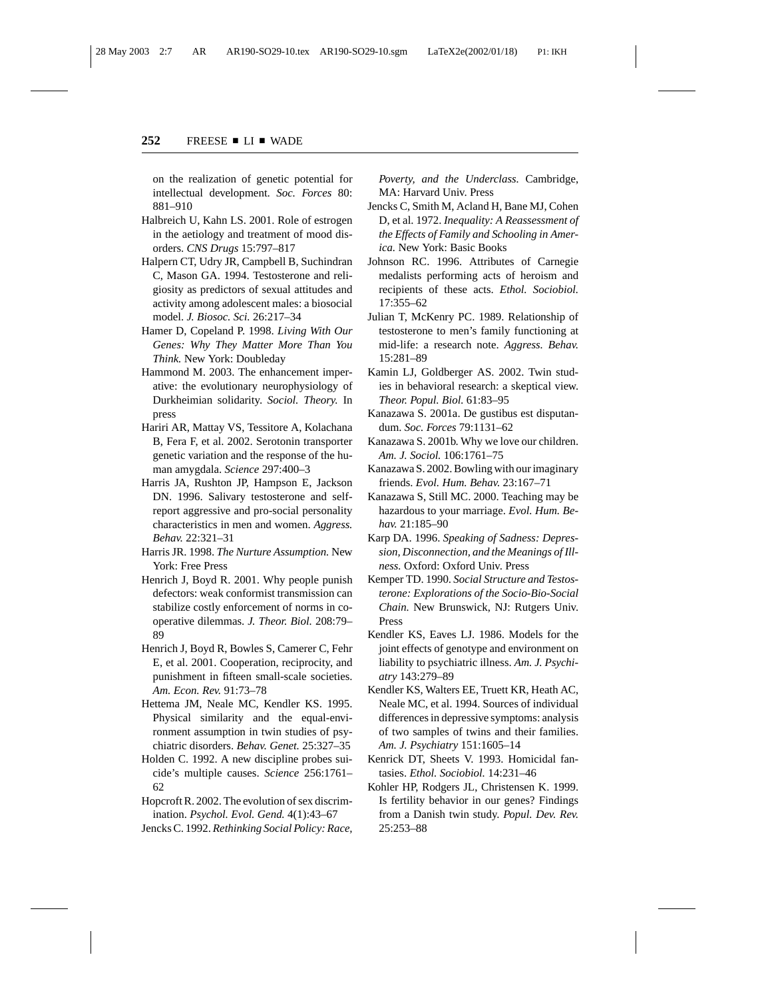on the realization of genetic potential for intellectual development. *Soc. Forces* 80: 881–910

- Halbreich U, Kahn LS. 2001. Role of estrogen in the aetiology and treatment of mood disorders. *CNS Drugs* 15:797–817
- Halpern CT, Udry JR, Campbell B, Suchindran C, Mason GA. 1994. Testosterone and religiosity as predictors of sexual attitudes and activity among adolescent males: a biosocial model. *J. Biosoc. Sci.* 26:217–34
- Hamer D, Copeland P. 1998. *Living With Our Genes: Why They Matter More Than You Think.* New York: Doubleday
- Hammond M. 2003. The enhancement imperative: the evolutionary neurophysiology of Durkheimian solidarity. *Sociol. Theory.* In press
- Hariri AR, Mattay VS, Tessitore A, Kolachana B, Fera F, et al. 2002. Serotonin transporter genetic variation and the response of the human amygdala. *Science* 297:400–3
- Harris JA, Rushton JP, Hampson E, Jackson DN. 1996. Salivary testosterone and selfreport aggressive and pro-social personality characteristics in men and women. *Aggress. Behav.* 22:321–31
- Harris JR. 1998. *The Nurture Assumption.* New York: Free Press
- Henrich J, Boyd R. 2001. Why people punish defectors: weak conformist transmission can stabilize costly enforcement of norms in cooperative dilemmas. *J. Theor. Biol.* 208:79– 89
- Henrich J, Boyd R, Bowles S, Camerer C, Fehr E, et al. 2001. Cooperation, reciprocity, and punishment in fifteen small-scale societies. *Am. Econ. Rev.* 91:73–78
- Hettema JM, Neale MC, Kendler KS. 1995. Physical similarity and the equal-environment assumption in twin studies of psychiatric disorders. *Behav. Genet.* 25:327–35
- Holden C. 1992. A new discipline probes suicide's multiple causes. *Science* 256:1761– 62
- Hopcroft R. 2002. The evolution of sex discrimination. *Psychol. Evol. Gend.* 4(1):43–67
- Jencks C. 1992. *Rethinking Social Policy: Race,*

*Poverty, and the Underclass.* Cambridge, MA: Harvard Univ. Press

- Jencks C, Smith M, Acland H, Bane MJ, Cohen D, et al. 1972. *Inequality: A Reassessment of the Effects of Family and Schooling in America.* New York: Basic Books
- Johnson RC. 1996. Attributes of Carnegie medalists performing acts of heroism and recipients of these acts. *Ethol. Sociobiol.* 17:355–62
- Julian T, McKenry PC. 1989. Relationship of testosterone to men's family functioning at mid-life: a research note. *Aggress. Behav.* 15:281–89
- Kamin LJ, Goldberger AS. 2002. Twin studies in behavioral research: a skeptical view. *Theor. Popul. Biol.* 61:83–95
- Kanazawa S. 2001a. De gustibus est disputandum. *Soc. Forces* 79:1131–62
- Kanazawa S. 2001b. Why we love our children. *Am. J. Sociol.* 106:1761–75
- Kanazawa S. 2002. Bowling with our imaginary friends. *Evol. Hum. Behav.* 23:167–71
- Kanazawa S, Still MC. 2000. Teaching may be hazardous to your marriage. *Evol. Hum. Behav.* 21:185–90
- Karp DA. 1996. *Speaking of Sadness: Depression, Disconnection, and the Meanings of Illness.* Oxford: Oxford Univ. Press
- Kemper TD. 1990. *Social Structure and Testosterone: Explorations of the Socio-Bio-Social Chain.* New Brunswick, NJ: Rutgers Univ. Press
- Kendler KS, Eaves LJ. 1986. Models for the joint effects of genotype and environment on liability to psychiatric illness. *Am. J. Psychiatry* 143:279–89
- Kendler KS, Walters EE, Truett KR, Heath AC, Neale MC, et al. 1994. Sources of individual differences in depressive symptoms: analysis of two samples of twins and their families. *Am. J. Psychiatry* 151:1605–14
- Kenrick DT, Sheets V. 1993. Homicidal fantasies. *Ethol. Sociobiol.* 14:231–46
- Kohler HP, Rodgers JL, Christensen K. 1999. Is fertility behavior in our genes? Findings from a Danish twin study. *Popul. Dev. Rev.* 25:253–88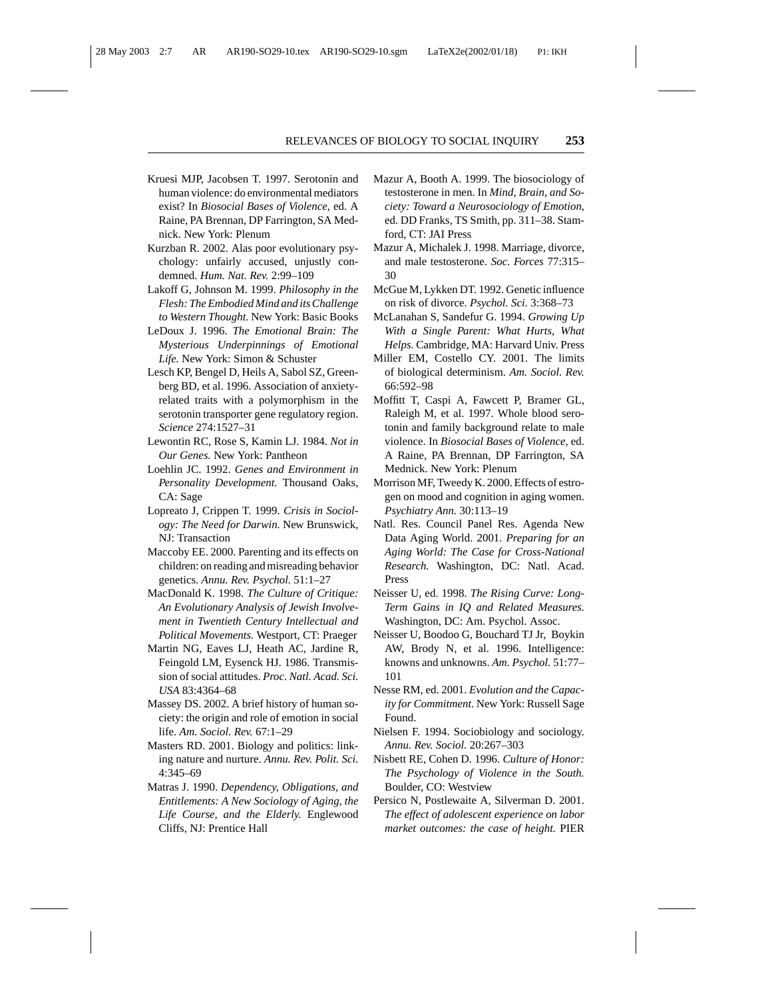- Kruesi MJP, Jacobsen T. 1997. Serotonin and human violence: do environmental mediators exist? In *Biosocial Bases of Violence*, ed. A Raine, PA Brennan, DP Farrington, SA Mednick. New York: Plenum
- Kurzban R. 2002. Alas poor evolutionary psychology: unfairly accused, unjustly condemned. *Hum. Nat. Rev.* 2:99–109
- Lakoff G, Johnson M. 1999. *Philosophy in the Flesh: The Embodied Mind and its Challenge to Western Thought.* New York: Basic Books
- LeDoux J. 1996. *The Emotional Brain: The Mysterious Underpinnings of Emotional Life.* New York: Simon & Schuster
- Lesch KP, Bengel D, Heils A, Sabol SZ, Greenberg BD, et al. 1996. Association of anxietyrelated traits with a polymorphism in the serotonin transporter gene regulatory region. *Science* 274:1527–31
- Lewontin RC, Rose S, Kamin LJ. 1984. *Not in Our Genes.* New York: Pantheon
- Loehlin JC. 1992. *Genes and Environment in Personality Development.* Thousand Oaks, CA: Sage
- Lopreato J, Crippen T. 1999. *Crisis in Sociology: The Need for Darwin.* New Brunswick, NJ: Transaction
- Maccoby EE. 2000. Parenting and its effects on children: on reading and misreading behavior genetics. *Annu. Rev. Psychol.* 51:1–27
- MacDonald K. 1998. *The Culture of Critique: An Evolutionary Analysis of Jewish Involvement in Twentieth Century Intellectual and Political Movements.* Westport, CT: Praeger
- Martin NG, Eaves LJ, Heath AC, Jardine R, Feingold LM, Eysenck HJ. 1986. Transmission of social attitudes. *Proc. Natl. Acad. Sci. USA* 83:4364–68
- Massey DS. 2002. A brief history of human society: the origin and role of emotion in social life. *Am. Sociol. Rev.* 67:1–29
- Masters RD. 2001. Biology and politics: linking nature and nurture. *Annu. Rev. Polit. Sci.* 4:345–69
- Matras J. 1990. *Dependency, Obligations, and Entitlements: A New Sociology of Aging, the Life Course, and the Elderly.* Englewood Cliffs, NJ: Prentice Hall
- Mazur A, Booth A. 1999. The biosociology of testosterone in men. In *Mind, Brain, and Society: Toward a Neurosociology of Emotion*, ed. DD Franks, TS Smith, pp. 311–38. Stamford, CT: JAI Press
- Mazur A, Michalek J. 1998. Marriage, divorce, and male testosterone. *Soc. Forces* 77:315– 30
- McGue M, Lykken DT. 1992. Genetic influence on risk of divorce. *Psychol. Sci.* 3:368–73
- McLanahan S, Sandefur G. 1994. *Growing Up With a Single Parent: What Hurts, What Helps.* Cambridge, MA: Harvard Univ. Press
- Miller EM, Costello CY. 2001. The limits of biological determinism. *Am. Sociol. Rev.* 66:592–98
- Moffitt T, Caspi A, Fawcett P, Bramer GL, Raleigh M, et al. 1997. Whole blood serotonin and family background relate to male violence. In *Biosocial Bases of Violence*, ed. A Raine, PA Brennan, DP Farrington, SA Mednick. New York: Plenum
- Morrison MF, Tweedy K. 2000. Effects of estrogen on mood and cognition in aging women. *Psychiatry Ann.* 30:113–19
- Natl. Res. Council Panel Res. Agenda New Data Aging World. 2001. *Preparing for an Aging World: The Case for Cross-National Research.* Washington, DC: Natl. Acad. Press
- Neisser U, ed. 1998. *The Rising Curve: Long-Term Gains in IQ and Related Measures.* Washington, DC: Am. Psychol. Assoc.
- Neisser U, Boodoo G, Bouchard TJ Jr, Boykin AW, Brody N, et al. 1996. Intelligence: knowns and unknowns. *Am. Psychol.* 51:77– 101
- Nesse RM, ed. 2001. *Evolution and the Capacity for Commitment.* New York: Russell Sage Found.
- Nielsen F. 1994. Sociobiology and sociology. *Annu. Rev. Sociol.* 20:267–303
- Nisbett RE, Cohen D. 1996. *Culture of Honor: The Psychology of Violence in the South.* Boulder, CO: Westview
- Persico N, Postlewaite A, Silverman D. 2001. *The effect of adolescent experience on labor market outcomes: the case of height.* PIER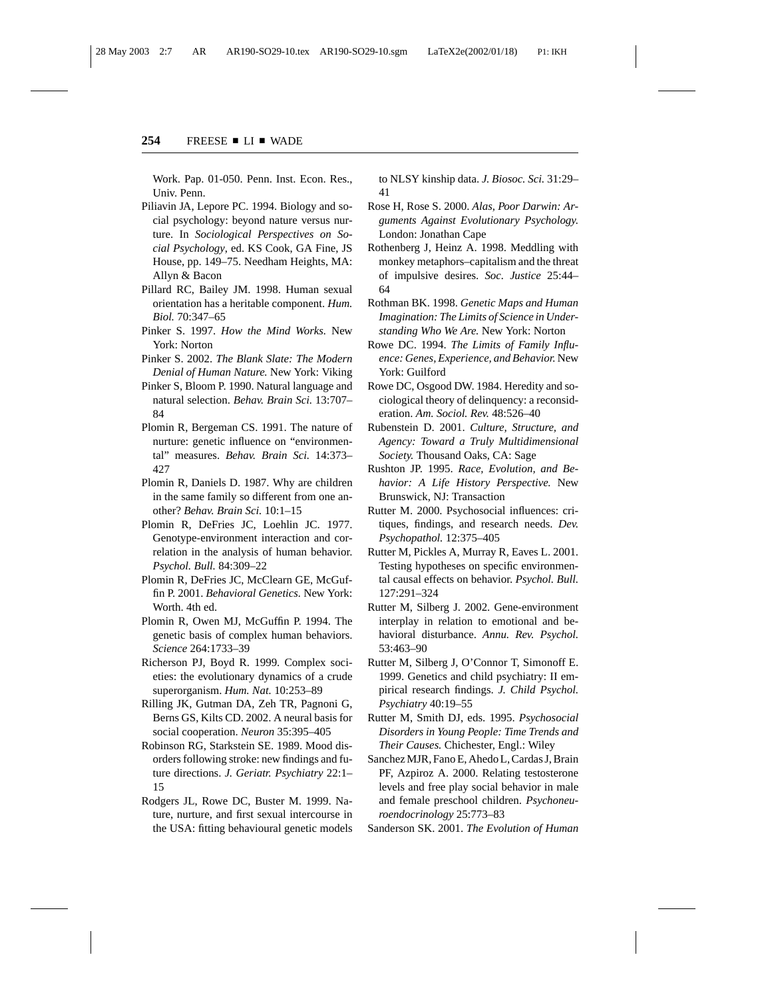Work. Pap. 01-050. Penn. Inst. Econ. Res., Univ. Penn.

Piliavin JA, Lepore PC. 1994. Biology and social psychology: beyond nature versus nurture. In *Sociological Perspectives on Social Psychology*, ed. KS Cook, GA Fine, JS House, pp. 149–75. Needham Heights, MA: Allyn & Bacon

- Pillard RC, Bailey JM. 1998. Human sexual orientation has a heritable component. *Hum. Biol.* 70:347–65
- Pinker S. 1997. *How the Mind Works.* New York: Norton
- Pinker S. 2002. *The Blank Slate: The Modern Denial of Human Nature.* New York: Viking
- Pinker S, Bloom P. 1990. Natural language and natural selection. *Behav. Brain Sci.* 13:707– 84
- Plomin R, Bergeman CS. 1991. The nature of nurture: genetic influence on "environmental" measures. *Behav. Brain Sci.* 14:373– 427
- Plomin R, Daniels D. 1987. Why are children in the same family so different from one another? *Behav. Brain Sci.* 10:1–15
- Plomin R, DeFries JC, Loehlin JC. 1977. Genotype-environment interaction and correlation in the analysis of human behavior. *Psychol. Bull.* 84:309–22
- Plomin R, DeFries JC, McClearn GE, McGuffin P. 2001. *Behavioral Genetics.* New York: Worth. 4th ed.
- Plomin R, Owen MJ, McGuffin P. 1994. The genetic basis of complex human behaviors. *Science* 264:1733–39

Richerson PJ, Boyd R. 1999. Complex societies: the evolutionary dynamics of a crude superorganism. *Hum. Nat.* 10:253–89

Rilling JK, Gutman DA, Zeh TR, Pagnoni G, Berns GS, Kilts CD. 2002. A neural basis for social cooperation. *Neuron* 35:395–405

Robinson RG, Starkstein SE. 1989. Mood disorders following stroke: new findings and future directions. *J. Geriatr. Psychiatry* 22:1– 15

Rodgers JL, Rowe DC, Buster M. 1999. Nature, nurture, and first sexual intercourse in the USA: fitting behavioural genetic models to NLSY kinship data. *J. Biosoc. Sci.* 31:29– 41

Rose H, Rose S. 2000. *Alas, Poor Darwin: Arguments Against Evolutionary Psychology.* London: Jonathan Cape

Rothenberg J, Heinz A. 1998. Meddling with monkey metaphors–capitalism and the threat of impulsive desires. *Soc. Justice* 25:44– 64

Rothman BK. 1998. *Genetic Maps and Human Imagination: The Limits of Science in Understanding Who We Are.* New York: Norton

Rowe DC. 1994. *The Limits of Family Influence: Genes, Experience, and Behavior.* New York: Guilford

Rowe DC, Osgood DW. 1984. Heredity and sociological theory of delinquency: a reconsideration. *Am. Sociol. Rev.* 48:526–40

- Rubenstein D. 2001. *Culture, Structure, and Agency: Toward a Truly Multidimensional Society.* Thousand Oaks, CA: Sage
- Rushton JP. 1995. *Race, Evolution, and Behavior: A Life History Perspective.* New Brunswick, NJ: Transaction
- Rutter M. 2000. Psychosocial influences: critiques, findings, and research needs. *Dev. Psychopathol.* 12:375–405
- Rutter M, Pickles A, Murray R, Eaves L. 2001. Testing hypotheses on specific environmental causal effects on behavior. *Psychol. Bull.* 127:291–324
- Rutter M, Silberg J. 2002. Gene-environment interplay in relation to emotional and behavioral disturbance. *Annu. Rev. Psychol.* 53:463–90
- Rutter M, Silberg J, O'Connor T, Simonoff E. 1999. Genetics and child psychiatry: II empirical research findings. *J. Child Psychol. Psychiatry* 40:19–55

Rutter M, Smith DJ, eds. 1995. *Psychosocial Disorders in Young People: Time Trends and Their Causes.* Chichester, Engl.: Wiley

Sanchez MJR, Fano E, Ahedo L, Cardas J, Brain PF, Azpiroz A. 2000. Relating testosterone levels and free play social behavior in male and female preschool children. *Psychoneuroendocrinology* 25:773–83

Sanderson SK. 2001. *The Evolution of Human*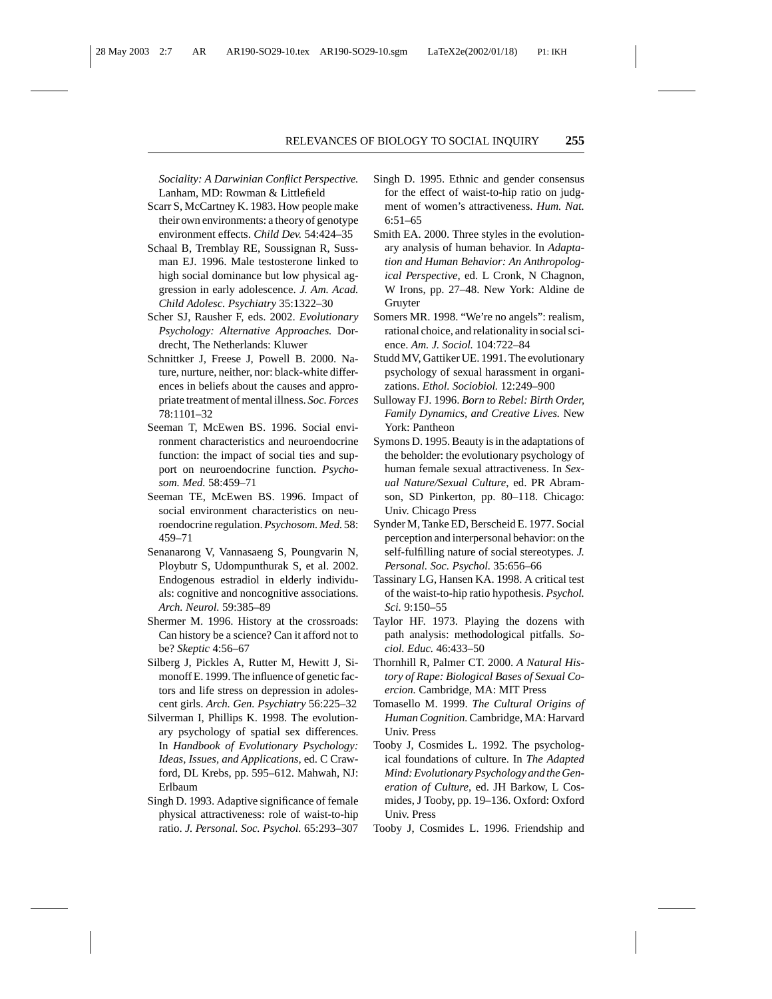*Sociality: A Darwinian Conflict Perspective.* Lanham, MD: Rowman & Littlefield

- Scarr S, McCartney K. 1983. How people make their own environments: a theory of genotype environment effects. *Child Dev.* 54:424–35
- Schaal B, Tremblay RE, Soussignan R, Sussman EJ. 1996. Male testosterone linked to high social dominance but low physical aggression in early adolescence. *J. Am. Acad. Child Adolesc. Psychiatry* 35:1322–30
- Scher SJ, Rausher F, eds. 2002. *Evolutionary Psychology: Alternative Approaches.* Dordrecht, The Netherlands: Kluwer
- Schnittker J, Freese J, Powell B. 2000. Nature, nurture, neither, nor: black-white differences in beliefs about the causes and appropriate treatment of mental illness. *Soc. Forces* 78:1101–32
- Seeman T, McEwen BS. 1996. Social environment characteristics and neuroendocrine function: the impact of social ties and support on neuroendocrine function. *Psychosom. Med.* 58:459–71
- Seeman TE, McEwen BS. 1996. Impact of social environment characteristics on neuroendocrine regulation.*Psychosom. Med.* 58: 459–71
- Senanarong V, Vannasaeng S, Poungvarin N, Ploybutr S, Udompunthurak S, et al. 2002. Endogenous estradiol in elderly individuals: cognitive and noncognitive associations. *Arch. Neurol.* 59:385–89
- Shermer M. 1996. History at the crossroads: Can history be a science? Can it afford not to be? *Skeptic* 4:56–67
- Silberg J, Pickles A, Rutter M, Hewitt J, Simonoff E. 1999. The influence of genetic factors and life stress on depression in adolescent girls. *Arch. Gen. Psychiatry* 56:225–32
- Silverman I, Phillips K. 1998. The evolutionary psychology of spatial sex differences. In *Handbook of Evolutionary Psychology: Ideas, Issues, and Applications*, ed. C Crawford, DL Krebs, pp. 595–612. Mahwah, NJ: Erlbaum
- Singh D. 1993. Adaptive significance of female physical attractiveness: role of waist-to-hip ratio. *J. Personal. Soc. Psychol.* 65:293–307
- Singh D. 1995. Ethnic and gender consensus for the effect of waist-to-hip ratio on judgment of women's attractiveness. *Hum. Nat.* 6:51–65
- Smith EA. 2000. Three styles in the evolutionary analysis of human behavior. In *Adaptation and Human Behavior: An Anthropological Perspective*, ed. L Cronk, N Chagnon, W Irons, pp. 27–48. New York: Aldine de Gruyter
- Somers MR. 1998. "We're no angels": realism, rational choice, and relationality in social science. *Am. J. Sociol.* 104:722–84
- Studd MV, Gattiker UE. 1991. The evolutionary psychology of sexual harassment in organizations. *Ethol. Sociobiol.* 12:249–900
- Sulloway FJ. 1996. *Born to Rebel: Birth Order, Family Dynamics, and Creative Lives.* New York: Pantheon
- Symons D. 1995. Beauty is in the adaptations of the beholder: the evolutionary psychology of human female sexual attractiveness. In *Sexual Nature/Sexual Culture*, ed. PR Abramson, SD Pinkerton, pp. 80–118. Chicago: Univ. Chicago Press
- Synder M, Tanke ED, Berscheid E. 1977. Social perception and interpersonal behavior: on the self-fulfilling nature of social stereotypes. *J. Personal. Soc. Psychol.* 35:656–66
- Tassinary LG, Hansen KA. 1998. A critical test of the waist-to-hip ratio hypothesis. *Psychol. Sci.* 9:150–55
- Taylor HF. 1973. Playing the dozens with path analysis: methodological pitfalls. *Sociol. Educ.* 46:433–50
- Thornhill R, Palmer CT. 2000. *A Natural History of Rape: Biological Bases of Sexual Coercion.* Cambridge, MA: MIT Press
- Tomasello M. 1999. *The Cultural Origins of Human Cognition.*Cambridge, MA: Harvard Univ. Press
- Tooby J, Cosmides L. 1992. The psychological foundations of culture. In *The Adapted Mind: Evolutionary Psychology and the Generation of Culture*, ed. JH Barkow, L Cosmides, J Tooby, pp. 19–136. Oxford: Oxford Univ. Press
- Tooby J, Cosmides L. 1996. Friendship and